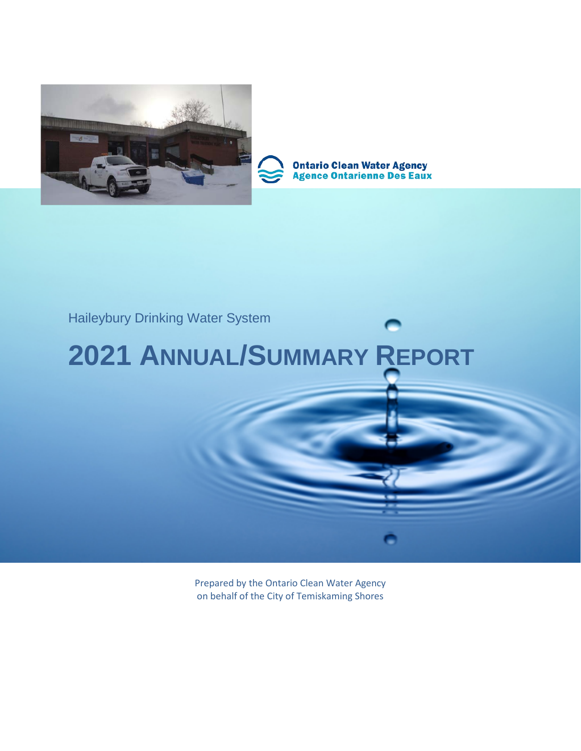



**Ontario Clean Water Agency<br>Agence Ontarienne Des Eaux** 

# Haileybury Drinking Water System

# **2021 ANNUAL/SUMMARY REPORT**

Prepared by the Ontario Clean Water Agency on behalf of the City of Temiskaming Shores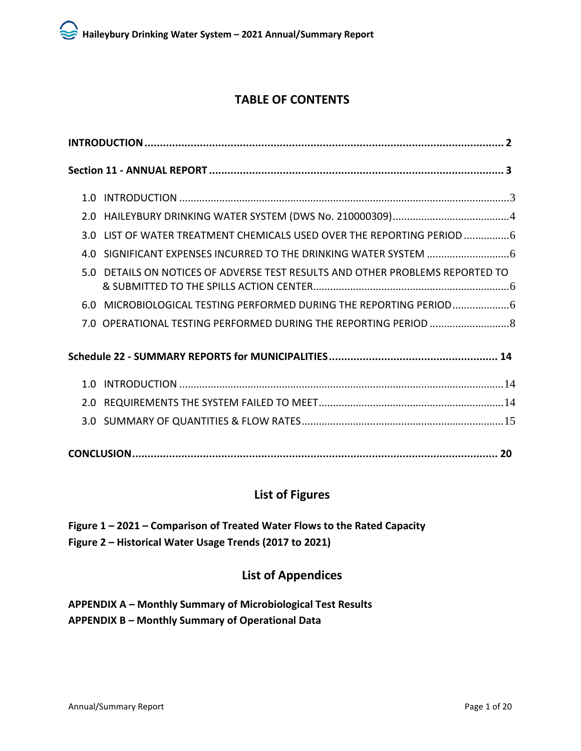# **TABLE OF CONTENTS**

| 3.0 LIST OF WATER TREATMENT CHEMICALS USED OVER THE REPORTING PERIOD 6        |
|-------------------------------------------------------------------------------|
|                                                                               |
| 5.0 DETAILS ON NOTICES OF ADVERSE TEST RESULTS AND OTHER PROBLEMS REPORTED TO |
| 6.0 MICROBIOLOGICAL TESTING PERFORMED DURING THE REPORTING PERIOD             |
|                                                                               |
|                                                                               |
|                                                                               |
|                                                                               |
|                                                                               |
|                                                                               |

# **List of Figures**

**Figure 1 – 2021 – Comparison of Treated Water Flows to the Rated Capacity Figure 2 – Historical Water Usage Trends (2017 to 2021)**

# **List of Appendices**

**APPENDIX A – Monthly Summary of Microbiological Test Results APPENDIX B – Monthly Summary of Operational Data**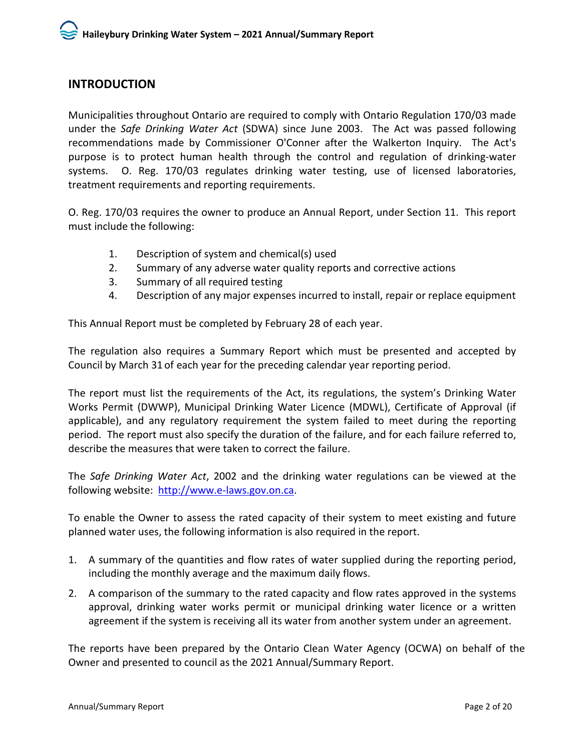# <span id="page-2-0"></span>**INTRODUCTION**

Municipalities throughout Ontario are required to comply with Ontario Regulation 170/03 made under the *Safe Drinking Water Act* (SDWA) since June 2003. The Act was passed following recommendations made by Commissioner O'Conner after the Walkerton Inquiry. The Act's purpose is to protect human health through the control and regulation of drinking-water systems. O. Reg. 170/03 regulates drinking water testing, use of licensed laboratories, treatment requirements and reporting requirements.

O. Reg. 170/03 requires the owner to produce an Annual Report, under Section 11. This report must include the following:

- 1. Description of system and chemical(s) used
- 2. Summary of any adverse water quality reports and corrective actions
- 3. Summary of all required testing
- 4. Description of any major expenses incurred to install, repair or replace equipment

This Annual Report must be completed by February 28 of each year.

The regulation also requires a Summary Report which must be presented and accepted by Council by March 31 of each year for the preceding calendar year reporting period.

The report must list the requirements of the Act, its regulations, the system's Drinking Water Works Permit (DWWP), Municipal Drinking Water Licence (MDWL), Certificate of Approval (if applicable), and any regulatory requirement the system failed to meet during the reporting period. The report must also specify the duration of the failure, and for each failure referred to, describe the measures that were taken to correct the failure.

The *Safe Drinking Water Act*, 2002 and the drinking water regulations can be viewed at the following website: [http://www.e-laws.gov.on.ca.](http://www.e-laws.gov.on.ca/)

To enable the Owner to assess the rated capacity of their system to meet existing and future planned water uses, the following information is also required in the report.

- 1. A summary of the quantities and flow rates of water supplied during the reporting period, including the monthly average and the maximum daily flows.
- 2. A comparison of the summary to the rated capacity and flow rates approved in the systems approval, drinking water works permit or municipal drinking water licence or a written agreement if the system is receiving all its water from another system under an agreement.

<span id="page-2-1"></span>The reports have been prepared by the Ontario Clean Water Agency (OCWA) on behalf of the Owner and presented to council as the 2021 Annual/Summary Report.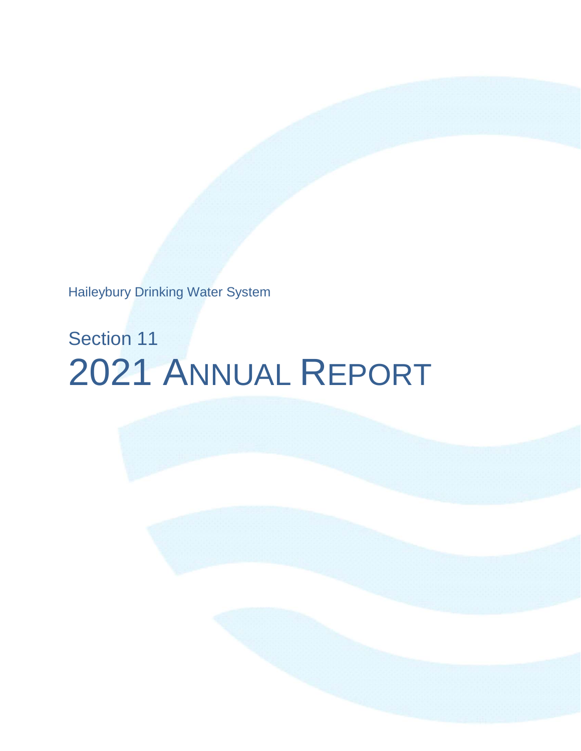Haileybury Drinking Water System

# Section 11 2021 ANNUAL REPORT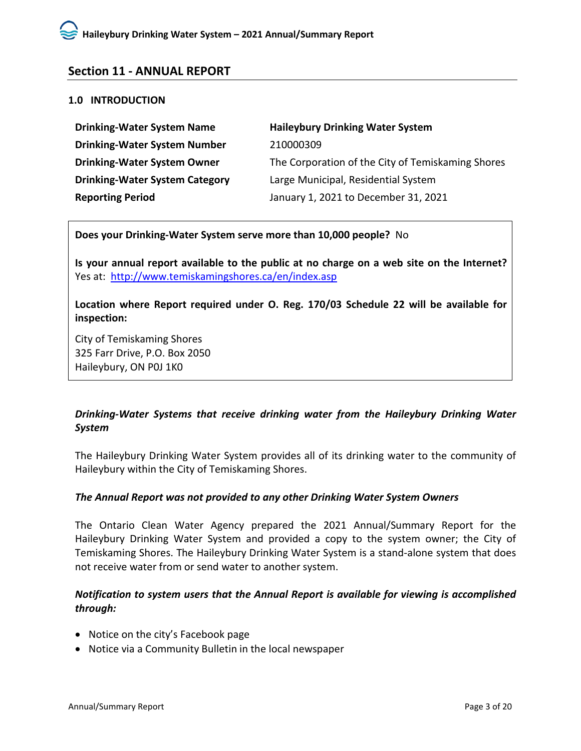# **Section 11 - ANNUAL REPORT**

#### <span id="page-4-0"></span>**1.0 INTRODUCTION**

| <b>Drinking-Water System Name</b>     | <b>Haileybury Drinking Water System</b>           |
|---------------------------------------|---------------------------------------------------|
| <b>Drinking-Water System Number</b>   | 210000309                                         |
| <b>Drinking-Water System Owner</b>    | The Corporation of the City of Temiskaming Shores |
| <b>Drinking-Water System Category</b> | Large Municipal, Residential System               |
| <b>Reporting Period</b>               | January 1, 2021 to December 31, 2021              |

**Does your Drinking-Water System serve more than 10,000 people?** No

**Is your annual report available to the public at no charge on a web site on the Internet?**  Yes at:<http://www.temiskamingshores.ca/en/index.asp>

**Location where Report required under O. Reg. 170/03 Schedule 22 will be available for inspection:**

City of Temiskaming Shores 325 Farr Drive, P.O. Box 2050 Haileybury, ON P0J 1K0

# *Drinking-Water Systems that receive drinking water from the Haileybury Drinking Water System*

The Haileybury Drinking Water System provides all of its drinking water to the community of Haileybury within the City of Temiskaming Shores.

#### *The Annual Report was not provided to any other Drinking Water System Owners*

The Ontario Clean Water Agency prepared the 2021 Annual/Summary Report for the Haileybury Drinking Water System and provided a copy to the system owner; the City of Temiskaming Shores. The Haileybury Drinking Water System is a stand-alone system that does not receive water from or send water to another system.

# *Notification to system users that the Annual Report is available for viewing is accomplished through:*

- Notice on the city's Facebook page
- <span id="page-4-1"></span>• Notice via a Community Bulletin in the local newspaper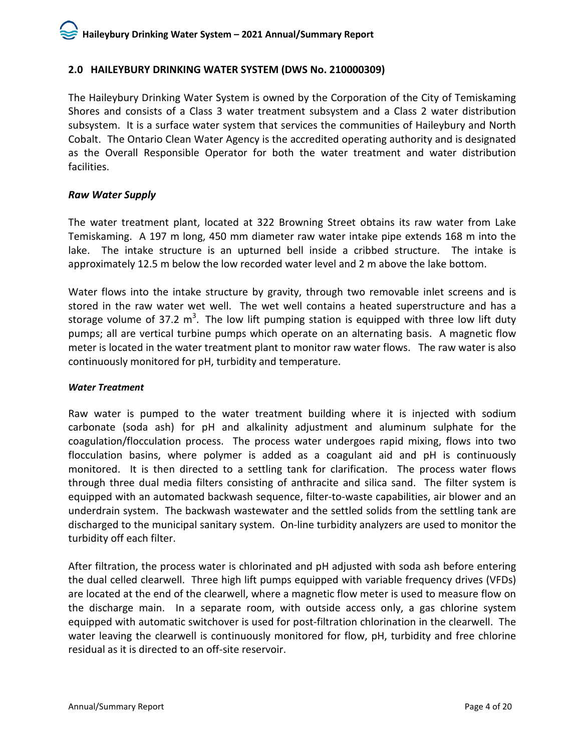# **2.0 HAILEYBURY DRINKING WATER SYSTEM (DWS No. 210000309)**

The Haileybury Drinking Water System is owned by the Corporation of the City of Temiskaming Shores and consists of a Class 3 water treatment subsystem and a Class 2 water distribution subsystem. It is a surface water system that services the communities of Haileybury and North Cobalt. The Ontario Clean Water Agency is the accredited operating authority and is designated as the Overall Responsible Operator for both the water treatment and water distribution facilities.

#### *Raw Water Supply*

The water treatment plant, located at 322 Browning Street obtains its raw water from Lake Temiskaming. A 197 m long, 450 mm diameter raw water intake pipe extends 168 m into the lake.The intake structure is an upturned bell inside a cribbed structure. The intake is approximately 12.5 m below the low recorded water level and 2 m above the lake bottom.

Water flows into the intake structure by gravity, through two removable inlet screens and is stored in the raw water wet well. The wet well contains a heated superstructure and has a storage volume of 37.2  $m^3$ . The low lift pumping station is equipped with three low lift duty pumps; all are vertical turbine pumps which operate on an alternating basis. A magnetic flow meter is located in the water treatment plant to monitor raw water flows. The raw water is also continuously monitored for pH, turbidity and temperature.

#### *Water Treatment*

Raw water is pumped to the water treatment building where it is injected with sodium carbonate (soda ash) for pH and alkalinity adjustment and aluminum sulphate for the coagulation/flocculation process. The process water undergoes rapid mixing, flows into two flocculation basins, where polymer is added as a coagulant aid and pH is continuously monitored. It is then directed to a settling tank for clarification. The process water flows through three dual media filters consisting of anthracite and silica sand. The filter system is equipped with an automated backwash sequence, filter-to-waste capabilities, air blower and an underdrain system. The backwash wastewater and the settled solids from the settling tank are discharged to the municipal sanitary system. On-line turbidity analyzers are used to monitor the turbidity off each filter.

After filtration, the process water is chlorinated and pH adjusted with soda ash before entering the dual celled clearwell. Three high lift pumps equipped with variable frequency drives (VFDs) are located at the end of the clearwell, where a magnetic flow meter is used to measure flow on the discharge main. In a separate room, with outside access only, a gas chlorine system equipped with automatic switchover is used for post-filtration chlorination in the clearwell.The water leaving the clearwell is continuously monitored for flow, pH, turbidity and free chlorine residual as it is directed to an off-site reservoir.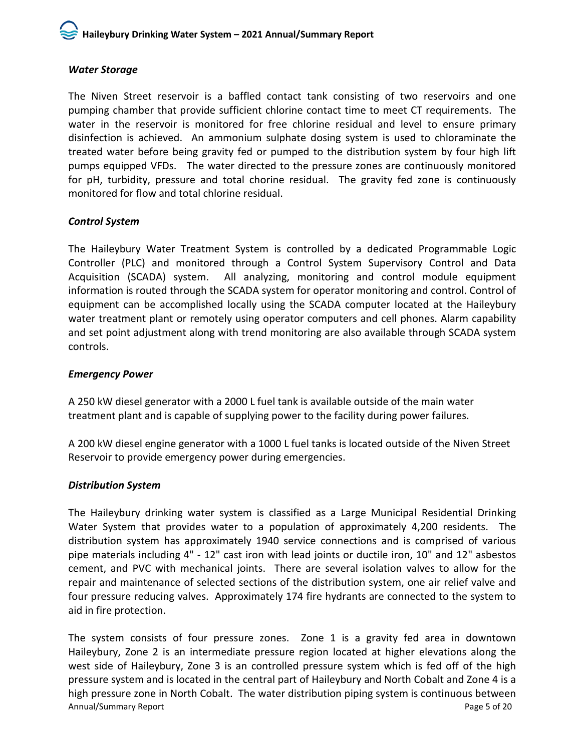#### *Water Storage*

The Niven Street reservoir is a baffled contact tank consisting of two reservoirs and one pumping chamber that provide sufficient chlorine contact time to meet CT requirements. The water in the reservoir is monitored for free chlorine residual and level to ensure primary disinfection is achieved. An ammonium sulphate dosing system is used to chloraminate the treated water before being gravity fed or pumped to the distribution system by four high lift pumps equipped VFDs. The water directed to the pressure zones are continuously monitored for pH, turbidity, pressure and total chorine residual. The gravity fed zone is continuously monitored for flow and total chlorine residual.

# *Control System*

The Haileybury Water Treatment System is controlled by a dedicated Programmable Logic Controller (PLC) and monitored through a Control System Supervisory Control and Data Acquisition (SCADA) system. All analyzing, monitoring and control module equipment information is routed through the SCADA system for operator monitoring and control. Control of equipment can be accomplished locally using the SCADA computer located at the Haileybury water treatment plant or remotely using operator computers and cell phones. Alarm capability and set point adjustment along with trend monitoring are also available through SCADA system controls.

#### *Emergency Power*

A 250 kW diesel generator with a 2000 L fuel tank is available outside of the main water treatment plant and is capable of supplying power to the facility during power failures.

A 200 kW diesel engine generator with a 1000 L fuel tanks is located outside of the Niven Street Reservoir to provide emergency power during emergencies.

# *Distribution System*

The Haileybury drinking water system is classified as a Large Municipal Residential Drinking Water System that provides water to a population of approximately 4,200 residents. The distribution system has approximately 1940 service connections and is comprised of various pipe materials including 4" - 12" cast iron with lead joints or ductile iron, 10" and 12" asbestos cement, and PVC with mechanical joints. There are several isolation valves to allow for the repair and maintenance of selected sections of the distribution system, one air relief valve and four pressure reducing valves. Approximately 174 fire hydrants are connected to the system to aid in fire protection.

Annual/Summary Report **Page 1 of 20** Annual/Summary Report The system consists of four pressure zones. Zone 1 is a gravity fed area in downtown Haileybury, Zone 2 is an intermediate pressure region located at higher elevations along the west side of Haileybury, Zone 3 is an controlled pressure system which is fed off of the high pressure system and is located in the central part of Haileybury and North Cobalt and Zone 4 is a high pressure zone in North Cobalt. The water distribution piping system is continuous between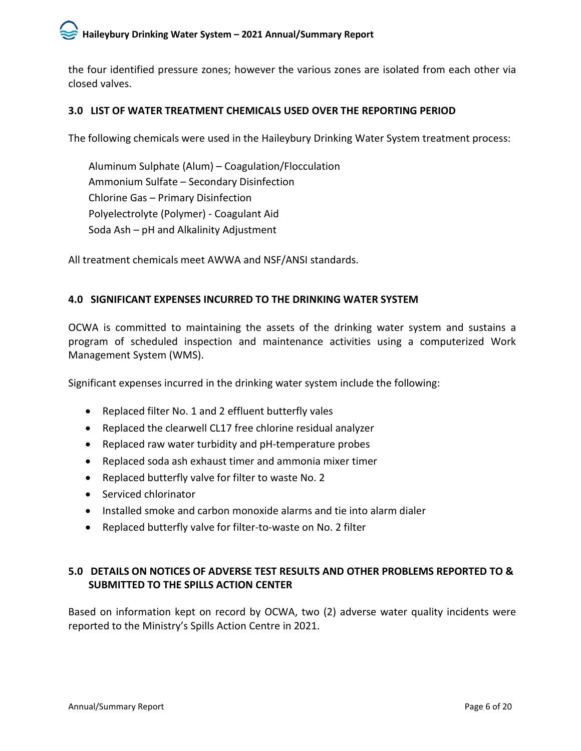the four identified pressure zones; however the various zones are isolated from each other via closed valves.

# <span id="page-7-0"></span>**3.0 LIST OF WATER TREATMENT CHEMICALS USED OVER THE REPORTING PERIOD**

The following chemicals were used in the Haileybury Drinking Water System treatment process:

Aluminum Sulphate (Alum) – Coagulation/Flocculation Ammonium Sulfate – Secondary Disinfection Chlorine Gas – Primary Disinfection Polyelectrolyte (Polymer) - Coagulant Aid Soda Ash – pH and Alkalinity Adjustment

All treatment chemicals meet AWWA and NSF/ANSI standards.

# <span id="page-7-1"></span>**4.0 SIGNIFICANT EXPENSES INCURRED TO THE DRINKING WATER SYSTEM**

OCWA is committed to maintaining the assets of the drinking water system and sustains a program of scheduled inspection and maintenance activities using a computerized Work Management System (WMS).

Significant expenses incurred in the drinking water system include the following:

- Replaced filter No. 1 and 2 effluent butterfly vales
- Replaced the clearwell CL17 free chlorine residual analyzer
- Replaced raw water turbidity and pH-temperature probes
- Replaced soda ash exhaust timer and ammonia mixer timer
- Replaced butterfly valve for filter to waste No. 2
- Serviced chlorinator
- Installed smoke and carbon monoxide alarms and tie into alarm dialer
- Replaced butterfly valve for filter-to-waste on No. 2 filter

# <span id="page-7-2"></span>**5.0 DETAILS ON NOTICES OF ADVERSE TEST RESULTS AND OTHER PROBLEMS REPORTED TO & SUBMITTED TO THE SPILLS ACTION CENTER**

<span id="page-7-3"></span>Based on information kept on record by OCWA, two (2) adverse water quality incidents were reported to the Ministry's Spills Action Centre in 2021.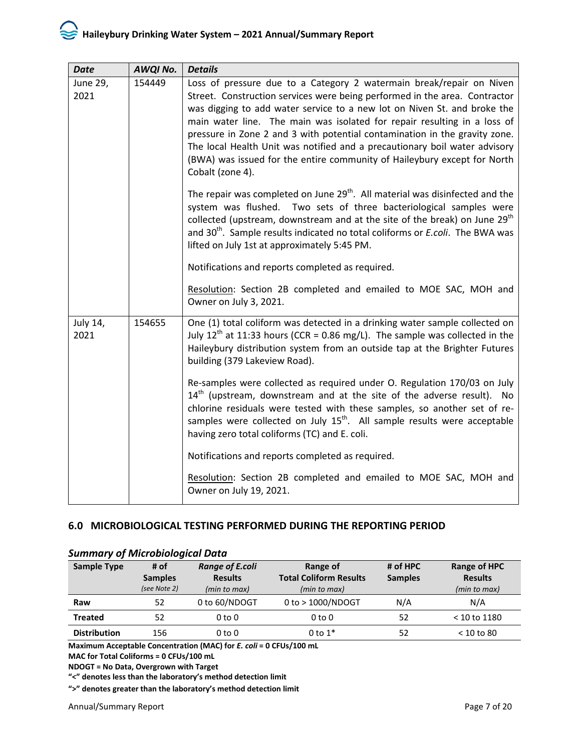| <b>Date</b>      | AWQI No. | <b>Details</b>                                                                                                                                                                                                                                                                                                                                                                                                                                                                                                                                                         |
|------------------|----------|------------------------------------------------------------------------------------------------------------------------------------------------------------------------------------------------------------------------------------------------------------------------------------------------------------------------------------------------------------------------------------------------------------------------------------------------------------------------------------------------------------------------------------------------------------------------|
| June 29,<br>2021 | 154449   | Loss of pressure due to a Category 2 watermain break/repair on Niven<br>Street. Construction services were being performed in the area. Contractor<br>was digging to add water service to a new lot on Niven St. and broke the<br>main water line. The main was isolated for repair resulting in a loss of<br>pressure in Zone 2 and 3 with potential contamination in the gravity zone.<br>The local Health Unit was notified and a precautionary boil water advisory<br>(BWA) was issued for the entire community of Haileybury except for North<br>Cobalt (zone 4). |
|                  |          | The repair was completed on June 29 <sup>th</sup> . All material was disinfected and the<br>system was flushed. Two sets of three bacteriological samples were<br>collected (upstream, downstream and at the site of the break) on June 29 <sup>th</sup><br>and 30 <sup>th</sup> . Sample results indicated no total coliforms or <i>E.coli</i> . The BWA was<br>lifted on July 1st at approximately 5:45 PM.                                                                                                                                                          |
|                  |          | Notifications and reports completed as required.                                                                                                                                                                                                                                                                                                                                                                                                                                                                                                                       |
|                  |          | Resolution: Section 2B completed and emailed to MOE SAC, MOH and<br>Owner on July 3, 2021.                                                                                                                                                                                                                                                                                                                                                                                                                                                                             |
| July 14,<br>2021 | 154655   | One (1) total coliform was detected in a drinking water sample collected on<br>July 12 <sup>th</sup> at 11:33 hours (CCR = 0.86 mg/L). The sample was collected in the<br>Haileybury distribution system from an outside tap at the Brighter Futures<br>building (379 Lakeview Road).                                                                                                                                                                                                                                                                                  |
|                  |          | Re-samples were collected as required under O. Regulation 170/03 on July<br>$14th$ (upstream, downstream and at the site of the adverse result). No<br>chlorine residuals were tested with these samples, so another set of re-<br>samples were collected on July 15 <sup>th</sup> . All sample results were acceptable<br>having zero total coliforms (TC) and E. coli.                                                                                                                                                                                               |
|                  |          | Notifications and reports completed as required.                                                                                                                                                                                                                                                                                                                                                                                                                                                                                                                       |
|                  |          | Resolution: Section 2B completed and emailed to MOE SAC, MOH and<br>Owner on July 19, 2021.                                                                                                                                                                                                                                                                                                                                                                                                                                                                            |

#### **6.0 MICROBIOLOGICAL TESTING PERFORMED DURING THE REPORTING PERIOD**

| <b>Sample Type</b>  | # of           | <b>Range of E.coli</b> | Range of                      | # of HPC       | Range of HPC   |
|---------------------|----------------|------------------------|-------------------------------|----------------|----------------|
|                     | <b>Samples</b> | <b>Results</b>         | <b>Total Coliform Results</b> | <b>Samples</b> | <b>Results</b> |
|                     | (see Note 2)   | (min to max)           | (min to max)                  |                | (min to max)   |
| Raw                 | 52             | 0 to 60/NDOGT          | $0$ to $> 1000/NDOGT$         | N/A            | N/A            |
| <b>Treated</b>      | 52             | 0 to 0                 | 0 to 0                        | 52             | $< 10$ to 1180 |
| <b>Distribution</b> | 156            | 0 to 0                 | 0 to $1*$                     | 52             | $<$ 10 to 80   |

#### *Summary of Microbiological Data*

**Maximum Acceptable Concentration (MAC) for** *E. coli* **= 0 CFUs/100 mL**

**MAC for Total Coliforms = 0 CFUs/100 mL**

**NDOGT = No Data, Overgrown with Target**

**"<" denotes less than the laboratory's method detection limit**

**">" denotes greater than the laboratory's method detection limit**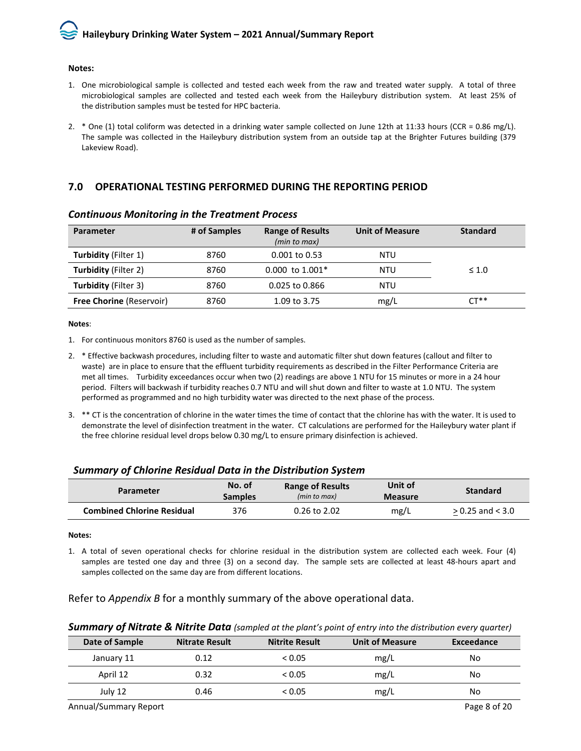#### **Notes:**

- 1. One microbiological sample is collected and tested each week from the raw and treated water supply. A total of three microbiological samples are collected and tested each week from the Haileybury distribution system. At least 25% of the distribution samples must be tested for HPC bacteria.
- 2. \* One (1) total coliform was detected in a drinking water sample collected on June 12th at 11:33 hours (CCR = 0.86 mg/L). The sample was collected in the Haileybury distribution system from an outside tap at the Brighter Futures building (379 Lakeview Road).

#### <span id="page-9-0"></span>**7.0 OPERATIONAL TESTING PERFORMED DURING THE REPORTING PERIOD**

| Parameter                       | # of Samples | <b>Range of Results</b><br>(min to max) | <b>Unit of Measure</b> | <b>Standard</b> |
|---------------------------------|--------------|-----------------------------------------|------------------------|-----------------|
| <b>Turbidity (Filter 1)</b>     | 8760         | $0.001$ to $0.53$                       | NTU                    |                 |
| <b>Turbidity (Filter 2)</b>     | 8760         | $0.000$ to 1.001 <sup>*</sup>           | NTU                    | $\leq 1.0$      |
| <b>Turbidity (Filter 3)</b>     | 8760         | 0.025 to 0.866                          | NTU                    |                 |
| <b>Free Chorine (Reservoir)</b> | 8760         | 1.09 to 3.75                            | mg/L                   | $CT**$          |

#### *Continuous Monitoring in the Treatment Process*

#### **Notes**:

- 1. For continuous monitors 8760 is used as the number of samples.
- 2. \* Effective backwash procedures, including filter to waste and automatic filter shut down features (callout and filter to waste) are in place to ensure that the effluent turbidity requirements as described in the Filter Performance Criteria are met all times. Turbidity exceedances occur when two (2) readings are above 1 NTU for 15 minutes or more in a 24 hour period. Filters will backwash if turbidity reaches 0.7 NTU and will shut down and filter to waste at 1.0 NTU. The system performed as programmed and no high turbidity water was directed to the next phase of the process.
- 3. \*\* CT is the concentration of chlorine in the water times the time of contact that the chlorine has with the water. It is used to demonstrate the level of disinfection treatment in the water. CT calculations are performed for the Haileybury water plant if the free chlorine residual level drops below 0.30 mg/L to ensure primary disinfection is achieved.

#### *Summary of Chlorine Residual Data in the Distribution System*

| Parameter                         | No. of<br><b>Samples</b> | <b>Range of Results</b><br>(min to max) | Unit of<br><b>Measure</b> | <b>Standard</b>      |
|-----------------------------------|--------------------------|-----------------------------------------|---------------------------|----------------------|
| <b>Combined Chlorine Residual</b> | 376                      | $0.26$ to $2.02$                        | mg/L                      | $> 0.25$ and $< 3.0$ |

#### **Notes:**

1. A total of seven operational checks for chlorine residual in the distribution system are collected each week. Four (4) samples are tested one day and three (3) on a second day. The sample sets are collected at least 48-hours apart and samples collected on the same day are from different locations.

#### Refer to *Appendix B* for a monthly summary of the above operational data.

#### *Summary of Nitrate & Nitrite Data (sampled at the plant's point of entry into the distribution every quarter)*

| Date of Sample | <b>Nitrate Result</b> | <b>Nitrite Result</b> | <b>Unit of Measure</b> | Exceedance |
|----------------|-----------------------|-----------------------|------------------------|------------|
| January 11     | 0.12                  | < 0.05                | mg/L                   | No         |
| April 12       | 0.32                  | < 0.05                | mg/L                   | No         |
| July 12        | 0.46                  | < 0.05                | mg/L                   | No         |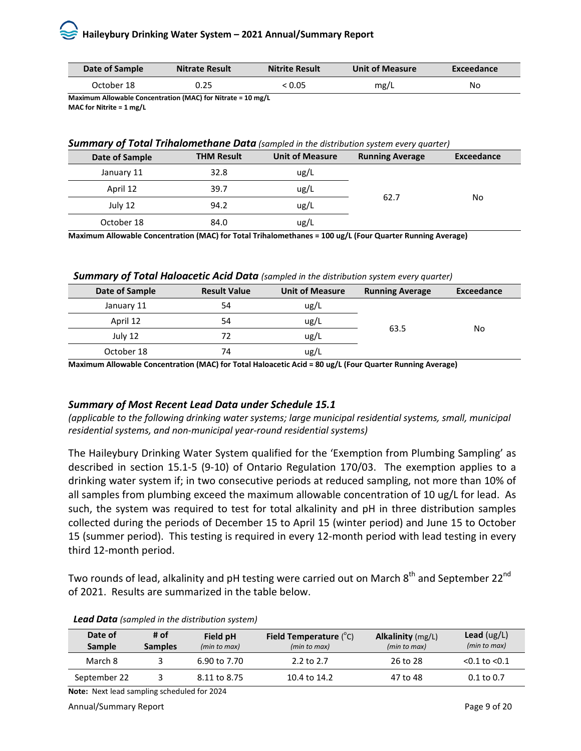| Date of Sample | <b>Nitrate Result</b> | <b>Nitrite Result</b> | <b>Unit of Measure</b> | Exceedance |
|----------------|-----------------------|-----------------------|------------------------|------------|
| October 18     | 0.25                  | : 0.05                | mg/L                   | No         |

**Maximum Allowable Concentration (MAC) for Nitrate = 10 mg/L MAC for Nitrite = 1 mg/L**

#### *Summary of Total Trihalomethane Data (sampled in the distribution system every quarter)*

| Date of Sample | <b>THM Result</b> | <b>Unit of Measure</b> | <b>Running Average</b> | Exceedance |
|----------------|-------------------|------------------------|------------------------|------------|
| January 11     | 32.8              | ug/L                   | 62.7                   |            |
| April 12       | 39.7              | ug/L                   |                        | No         |
| July 12        | 94.2              | ug/L                   |                        |            |
| October 18     | 84.0              | ug/L                   |                        |            |

**Maximum Allowable Concentration (MAC) for Total Trihalomethanes = 100 ug/L (Four Quarter Running Average)**

*Summary of Total Haloacetic Acid Data (sampled in the distribution system every quarter)*

| Date of Sample | <b>Result Value</b> | <b>Unit of Measure</b>                                                                                          | <b>Running Average</b> | Exceedance |
|----------------|---------------------|-----------------------------------------------------------------------------------------------------------------|------------------------|------------|
| January 11     | 54                  | ug/L                                                                                                            | 63.5                   | No         |
| April 12       | 54                  | ug/L                                                                                                            |                        |            |
| July 12        | 72                  | ug/L                                                                                                            |                        |            |
| October 18     | 74                  | ug/L                                                                                                            |                        |            |
|                |                     | the contract of the contract of the contract of the contract of the contract of the contract of the contract of |                        |            |

**Maximum Allowable Concentration (MAC) for Total Haloacetic Acid = 80 ug/L (Four Quarter Running Average)**

# *Summary of Most Recent Lead Data under Schedule 15.1*

*(applicable to the following drinking water systems; large municipal residential systems, small, municipal residential systems, and non-municipal year-round residential systems)* 

The Haileybury Drinking Water System qualified for the 'Exemption from Plumbing Sampling' as described in section 15.1-5 (9-10) of Ontario Regulation 170/03. The exemption applies to a drinking water system if; in two consecutive periods at reduced sampling, not more than 10% of all samples from plumbing exceed the maximum allowable concentration of 10 ug/L for lead. As such, the system was required to test for total alkalinity and pH in three distribution samples collected during the periods of December 15 to April 15 (winter period) and June 15 to October 15 (summer period). This testing is required in every 12-month period with lead testing in every third 12-month period.

Two rounds of lead, alkalinity and pH testing were carried out on March 8<sup>th</sup> and September 22<sup>nd</sup> of 2021. Results are summarized in the table below.

|  | <b>Lead Data</b> (sampled in the distribution system) |
|--|-------------------------------------------------------|
|--|-------------------------------------------------------|

| Date of<br>Sample | # of<br><b>Samples</b> | Field pH<br>(min to max) | <b>Field Temperature</b> $(^{\circ}C)$<br>(min to max) | <b>Alkalinity</b> (mg/L)<br>(min to max) | <b>Lead</b> ( $\log/L$ )<br>(min to max) |
|-------------------|------------------------|--------------------------|--------------------------------------------------------|------------------------------------------|------------------------------------------|
| March 8           |                        | 6.90 to 7.70             | 2.2 to $2.7$                                           | 26 to 28                                 | $< 0.1$ to $< 0.1$                       |
| September 22      |                        | 8.11 to 8.75             | 10.4 to 14.2                                           | 47 to 48                                 | $0.1$ to $0.7$                           |

**Note:** Next lead sampling scheduled for 2024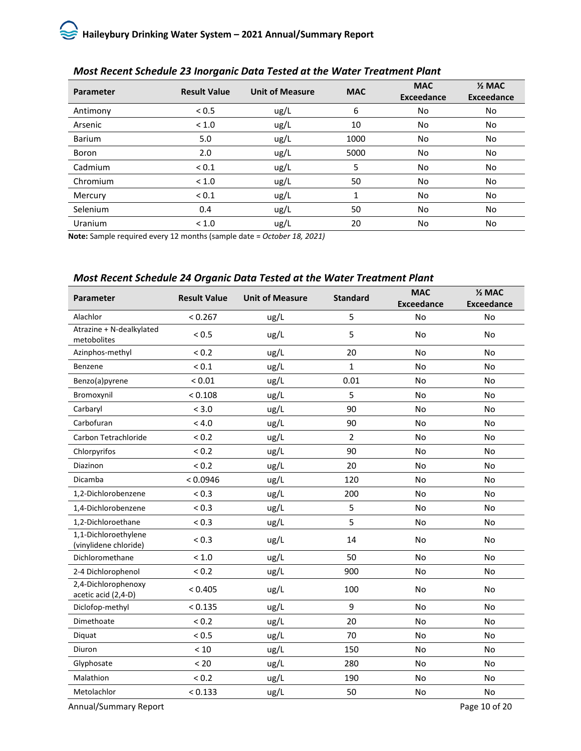| Parameter     | <b>Result Value</b> | <b>Unit of Measure</b> | <b>MAC</b> | <b>MAC</b><br><b>Exceedance</b> | $\frac{1}{2}$ MAC<br><b>Exceedance</b> |
|---------------|---------------------|------------------------|------------|---------------------------------|----------------------------------------|
| Antimony      | < 0.5               | ug/L                   | 6          | No                              | No                                     |
| Arsenic       | < 1.0               | ug/L                   | 10         | No                              | No                                     |
| <b>Barium</b> | 5.0                 | ug/L                   | 1000       | No                              | No                                     |
| Boron         | 2.0                 | ug/L                   | 5000       | No                              | No.                                    |
| Cadmium       | ${}_{0.1}$          | ug/L                   | 5          | No                              | No                                     |
| Chromium      | < 1.0               | ug/L                   | 50         | No                              | No                                     |
| Mercury       | ${}_{0.1}$          | ug/L                   | 1          | No                              | No                                     |
| Selenium      | 0.4                 | ug/L                   | 50         | No                              | No                                     |
| Uranium       | < 1.0               | ug/L                   | 20         | No                              | No                                     |

# *Most Recent Schedule 23 Inorganic Data Tested at the Water Treatment Plant*

**Note:** Sample required every 12 months (sample date = *October 18, 2021)*

# *Most Recent Schedule 24 Organic Data Tested at the Water Treatment Plant*

| <b>Parameter</b>                              | <b>Result Value</b> | <b>Unit of Measure</b> | <b>Standard</b> | <b>MAC</b>        | $\frac{1}{2}$ MAC |
|-----------------------------------------------|---------------------|------------------------|-----------------|-------------------|-------------------|
|                                               |                     |                        |                 | <b>Exceedance</b> | <b>Exceedance</b> |
| Alachlor                                      | < 0.267             | ug/L                   | 5               | <b>No</b>         | <b>No</b>         |
| Atrazine + N-dealkylated<br>metobolites       | < 0.5               | ug/L                   | 5               | No                | <b>No</b>         |
| Azinphos-methyl                               | ${}_{0.2}$          | ug/L                   | 20              | <b>No</b>         | <b>No</b>         |
| Benzene                                       | ${}_{0.1}$          | ug/L                   | $\mathbf{1}$    | <b>No</b>         | <b>No</b>         |
| Benzo(a)pyrene                                | ${}< 0.01$          | ug/L                   | 0.01            | <b>No</b>         | <b>No</b>         |
| Bromoxynil                                    | < 0.108             | ug/L                   | 5               | <b>No</b>         | <b>No</b>         |
| Carbaryl                                      | < 3.0               | ug/L                   | 90              | <b>No</b>         | <b>No</b>         |
| Carbofuran                                    | < 4.0               | ug/L                   | 90              | <b>No</b>         | <b>No</b>         |
| Carbon Tetrachloride                          | ${}_{0.2}$          | ug/L                   | $\overline{2}$  | <b>No</b>         | <b>No</b>         |
| Chlorpyrifos                                  | ${}_{0.2}$          | ug/L                   | 90              | <b>No</b>         | <b>No</b>         |
| Diazinon                                      | ${}_{0.2}$          | ug/L                   | 20              | <b>No</b>         | <b>No</b>         |
| Dicamba                                       | < 0.0946            | ug/L                   | 120             | <b>No</b>         | <b>No</b>         |
| 1,2-Dichlorobenzene                           | < 0.3               | ug/L                   | 200             | <b>No</b>         | <b>No</b>         |
| 1,4-Dichlorobenzene                           | ${}_{0.3}$          | ug/L                   | 5               | <b>No</b>         | <b>No</b>         |
| 1,2-Dichloroethane                            | < 0.3               | ug/L                   | 5               | No                | <b>No</b>         |
| 1,1-Dichloroethylene<br>(vinylidene chloride) | ${}_{0.3}$          | ug/L                   | 14              | <b>No</b>         | <b>No</b>         |
| Dichloromethane                               | < 1.0               | ug/L                   | 50              | <b>No</b>         | <b>No</b>         |
| 2-4 Dichlorophenol                            | ${}_{0.2}$          | ug/L                   | 900             | <b>No</b>         | <b>No</b>         |
| 2,4-Dichlorophenoxy<br>acetic acid (2,4-D)    | < 0.405             | ug/L                   | 100             | <b>No</b>         | <b>No</b>         |
| Diclofop-methyl                               | < 0.135             | ug/L                   | 9               | <b>No</b>         | <b>No</b>         |
| Dimethoate                                    | ${}_{0.2}$          | ug/L                   | 20              | <b>No</b>         | <b>No</b>         |
| Diquat                                        | < 0.5               | ug/L                   | 70              | <b>No</b>         | <b>No</b>         |
| Diuron                                        | < 10                | ug/L                   | 150             | No                | No                |
| Glyphosate                                    | < 20                | ug/L                   | 280             | <b>No</b>         | <b>No</b>         |
| Malathion                                     | ${}_{0.2}$          | ug/L                   | 190             | <b>No</b>         | <b>No</b>         |
| Metolachlor                                   | < 0.133             | ug/L                   | 50              | No                | No                |

Annual/Summary Report **Page 10 of 20**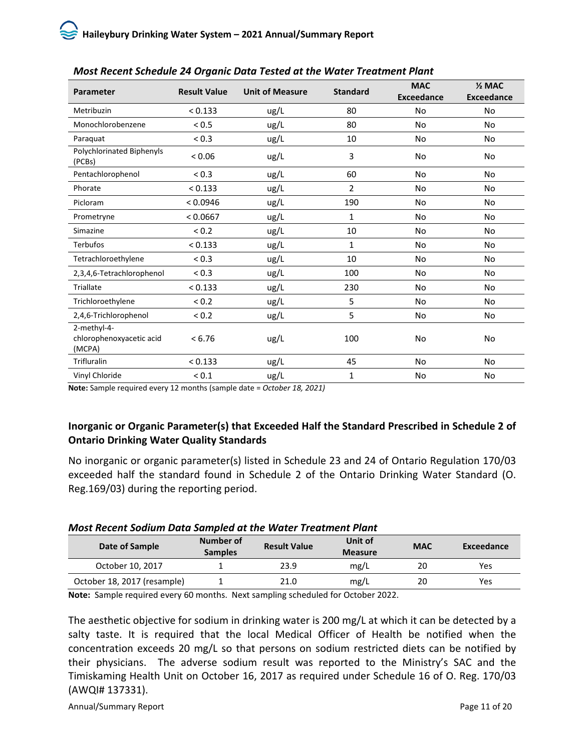| Parameter                                         | <b>Result Value</b><br><b>Unit of Measure</b> |      | <b>Standard</b> | <b>MAC</b><br><b>Exceedance</b> | $\frac{1}{2}$ MAC<br><b>Exceedance</b> |
|---------------------------------------------------|-----------------------------------------------|------|-----------------|---------------------------------|----------------------------------------|
| Metribuzin                                        | < 0.133                                       | ug/L | 80              | No                              | <b>No</b>                              |
| Monochlorobenzene                                 | < 0.5                                         | ug/L | 80              | <b>No</b>                       | <b>No</b>                              |
| Paraquat                                          | < 0.3                                         | ug/L | 10              | No                              | No                                     |
| <b>Polychlorinated Biphenyls</b><br>(PCBs)        | < 0.06                                        | ug/L | 3               | No                              | No                                     |
| Pentachlorophenol                                 | < 0.3                                         | ug/L | 60              | No                              | <b>No</b>                              |
| Phorate                                           | < 0.133                                       | ug/L | $\overline{2}$  | No                              | No                                     |
| Picloram                                          | < 0.0946                                      | ug/L | 190             | No                              | <b>No</b>                              |
| Prometryne                                        | < 0.0667                                      | ug/L | 1               | No                              | <b>No</b>                              |
| Simazine                                          | ${}_{0.2}$                                    | ug/L | 10              | No                              | <b>No</b>                              |
| <b>Terbufos</b>                                   | < 0.133                                       | ug/L | 1               | No                              | No                                     |
| Tetrachloroethylene                               | ${}_{0.3}$                                    | ug/L | 10              | No                              | <b>No</b>                              |
| 2,3,4,6-Tetrachlorophenol                         | ${}_{0.3}$                                    | ug/L | 100             | <b>No</b>                       | <b>No</b>                              |
| Triallate                                         | < 0.133                                       | ug/L | 230             | No                              | <b>No</b>                              |
| Trichloroethylene                                 | ${}_{0.2}$                                    | ug/L | 5               | No                              | <b>No</b>                              |
| 2,4,6-Trichlorophenol                             | < 0.2                                         | ug/L | 5               | No                              | <b>No</b>                              |
| 2-methyl-4-<br>chlorophenoxyacetic acid<br>(MCPA) | < 6.76                                        | ug/L | 100             | <b>No</b>                       | <b>No</b>                              |
| <b>Trifluralin</b>                                | < 0.133                                       | ug/L | 45              | <b>No</b>                       | <b>No</b>                              |
| Vinyl Chloride                                    | ${}_{0.1}$                                    | ug/L | 1               | No                              | No                                     |

# *Most Recent Schedule 24 Organic Data Tested at the Water Treatment Plant*

**Note:** Sample required every 12 months (sample date = *October 18, 2021)* 

# **Inorganic or Organic Parameter(s) that Exceeded Half the Standard Prescribed in Schedule 2 of Ontario Drinking Water Quality Standards**

No inorganic or organic parameter(s) listed in Schedule 23 and 24 of Ontario Regulation 170/03 exceeded half the standard found in Schedule 2 of the Ontario Drinking Water Standard (O. Reg.169/03) during the reporting period.

# *Most Recent Sodium Data Sampled at the Water Treatment Plant*

| Date of Sample              | Number of<br><b>Samples</b> | <b>Result Value</b> | Unit of<br><b>Measure</b> | <b>MAC</b> | Exceedance |
|-----------------------------|-----------------------------|---------------------|---------------------------|------------|------------|
| October 10, 2017            |                             | 23.9                | mg/L                      | 20         | Yes        |
| October 18, 2017 (resample) |                             | 21.0                | mg/L                      | 20         | Yes        |

**Note:** Sample required every 60 months. Next sampling scheduled for October 2022.

The aesthetic objective for sodium in drinking water is 200 mg/L at which it can be detected by a salty taste. It is required that the local Medical Officer of Health be notified when the concentration exceeds 20 mg/L so that persons on sodium restricted diets can be notified by their physicians. The adverse sodium result was reported to the Ministry's SAC and the Timiskaming Health Unit on October 16, 2017 as required under Schedule 16 of O. Reg. 170/03 (AWQI# 137331).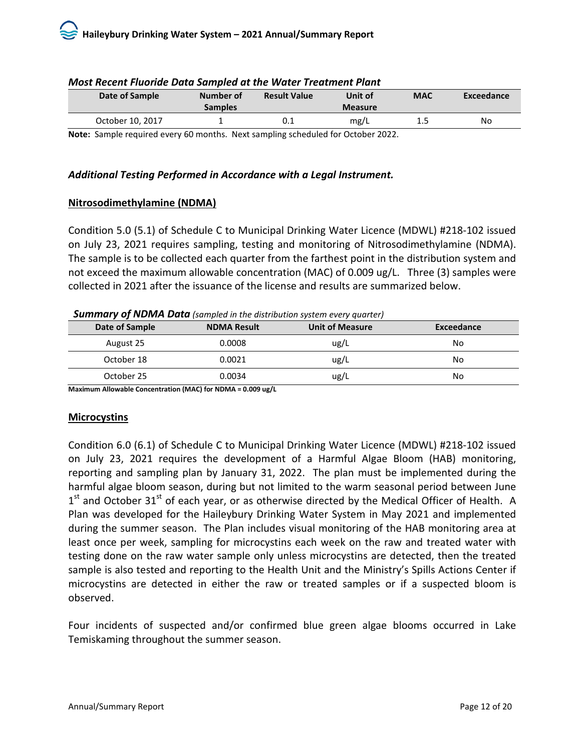| Date of Sample   | Number of<br><b>Samples</b> | <b>Result Value</b> | Unit of<br><b>Measure</b> | <b>MAC</b> | Exceedance |
|------------------|-----------------------------|---------------------|---------------------------|------------|------------|
| October 10, 2017 |                             | 0.1                 | mg/L                      | 1.5        | No         |

#### *Most Recent Fluoride Data Sampled at the Water Treatment Plant*

**Note:** Sample required every 60 months. Next sampling scheduled for October 2022.

### *Additional Testing Performed in Accordance with a Legal Instrument.*

#### **Nitrosodimethylamine (NDMA)**

Condition 5.0 (5.1) of Schedule C to Municipal Drinking Water Licence (MDWL) #218-102 issued on July 23, 2021 requires sampling, testing and monitoring of Nitrosodimethylamine (NDMA). The sample is to be collected each quarter from the farthest point in the distribution system and not exceed the maximum allowable concentration (MAC) of 0.009 ug/L. Three (3) samples were collected in 2021 after the issuance of the license and results are summarized below.

#### *Summary of NDMA Data (sampled in the distribution system every quarter)*

| Date of Sample | <b>NDMA Result</b> | <b>Unit of Measure</b> | Exceedance |
|----------------|--------------------|------------------------|------------|
| August 25      | 0.0008             | ug/L                   | No         |
| October 18     | 0.0021             | ug/L                   | No         |
| October 25     | 0.0034             | ug/L                   | No         |

**Maximum Allowable Concentration (MAC) for NDMA = 0.009 ug/L** 

# **Microcystins**

Condition 6.0 (6.1) of Schedule C to Municipal Drinking Water Licence (MDWL) #218-102 issued on July 23, 2021 requires the development of a Harmful Algae Bloom (HAB) monitoring, reporting and sampling plan by January 31, 2022. The plan must be implemented during the harmful algae bloom season, during but not limited to the warm seasonal period between June  $1<sup>st</sup>$  and October 31<sup>st</sup> of each year, or as otherwise directed by the Medical Officer of Health. A Plan was developed for the Haileybury Drinking Water System in May 2021 and implemented during the summer season. The Plan includes visual monitoring of the HAB monitoring area at least once per week, sampling for microcystins each week on the raw and treated water with testing done on the raw water sample only unless microcystins are detected, then the treated sample is also tested and reporting to the Health Unit and the Ministry's Spills Actions Center if microcystins are detected in either the raw or treated samples or if a suspected bloom is observed.

Four incidents of suspected and/or confirmed blue green algae blooms occurred in Lake Temiskaming throughout the summer season.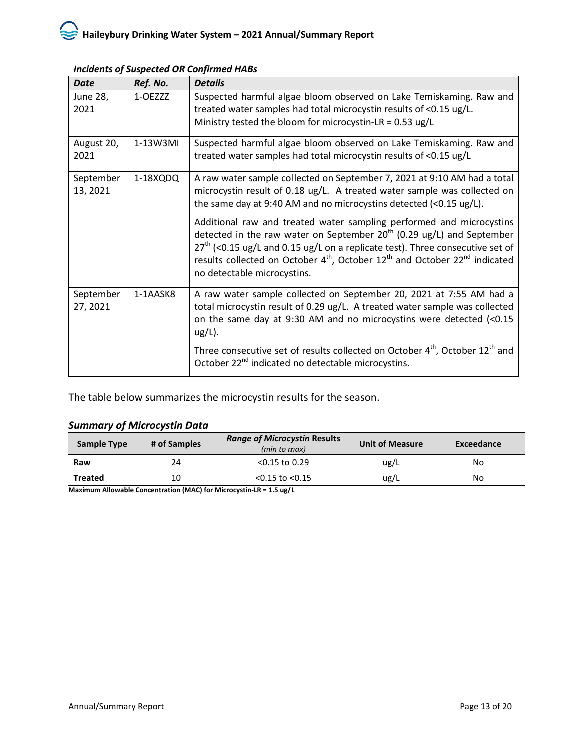| <b>Date</b>             | Ref. No. | <b>Details</b>                                                                                                                                                                                                                                                                                                                                                  |
|-------------------------|----------|-----------------------------------------------------------------------------------------------------------------------------------------------------------------------------------------------------------------------------------------------------------------------------------------------------------------------------------------------------------------|
| <b>June 28,</b><br>2021 | 1-OEZZZ  | Suspected harmful algae bloom observed on Lake Temiskaming. Raw and<br>treated water samples had total microcystin results of <0.15 ug/L.<br>Ministry tested the bloom for microcystin-LR = $0.53$ ug/L                                                                                                                                                         |
| August 20,<br>2021      | 1-13W3MI | Suspected harmful algae bloom observed on Lake Temiskaming. Raw and<br>treated water samples had total microcystin results of <0.15 ug/L                                                                                                                                                                                                                        |
| September<br>13, 2021   | 1-18XQDQ | A raw water sample collected on September 7, 2021 at 9:10 AM had a total<br>microcystin result of 0.18 ug/L. A treated water sample was collected on<br>the same day at 9:40 AM and no microcystins detected (<0.15 ug/L).                                                                                                                                      |
|                         |          | Additional raw and treated water sampling performed and microcystins<br>detected in the raw water on September 20 <sup>th</sup> (0.29 ug/L) and September<br>$27th$ (<0.15 ug/L and 0.15 ug/L on a replicate test). Three consecutive set of<br>results collected on October $4th$ , October $12th$ and October $22nd$ indicated<br>no detectable microcystins. |
| September<br>27, 2021   | 1-1AASK8 | A raw water sample collected on September 20, 2021 at 7:55 AM had a<br>total microcystin result of 0.29 ug/L. A treated water sample was collected<br>on the same day at 9:30 AM and no microcystins were detected (<0.15<br>$ug/L$ ).                                                                                                                          |
|                         |          | Three consecutive set of results collected on October 4 <sup>th</sup> , October 12 <sup>th</sup> and<br>October 22 <sup>nd</sup> indicated no detectable microcystins.                                                                                                                                                                                          |

#### *Incidents of Suspected OR Confirmed HABs*

The table below summarizes the microcystin results for the season.

# *Summary of Microcystin Data*

| Sample Type    | # of Samples | <b>Range of Microcystin Results</b><br>(min to max) | <b>Unit of Measure</b> | Exceedance |
|----------------|--------------|-----------------------------------------------------|------------------------|------------|
| Raw            | 24           | $< 0.15$ to 0.29                                    | ug/L                   | No         |
| <b>Treated</b> | 10           | $< 0.15$ to $< 0.15$                                | ug/L                   | No         |

**Maximum Allowable Concentration (MAC) for Microcystin-LR = 1.5 ug/L**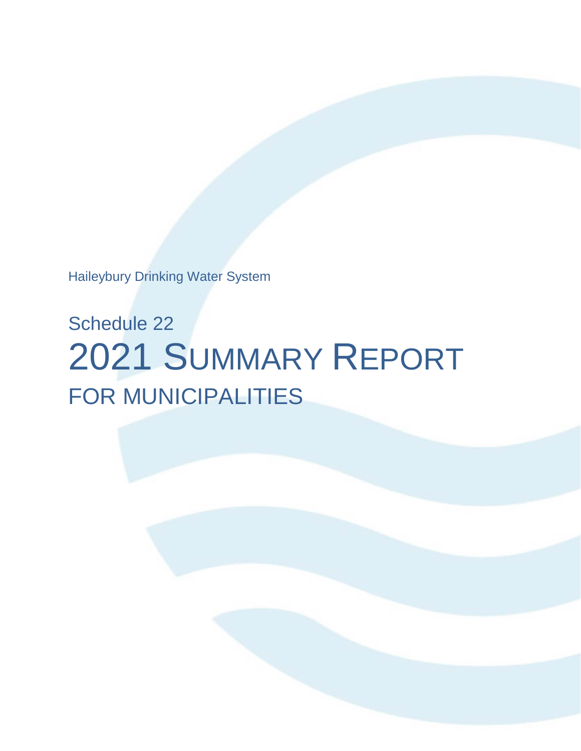Haileybury Drinking Water System

# Schedule 22 2021 SUMMARY REPORT FOR MUNICIPALITIES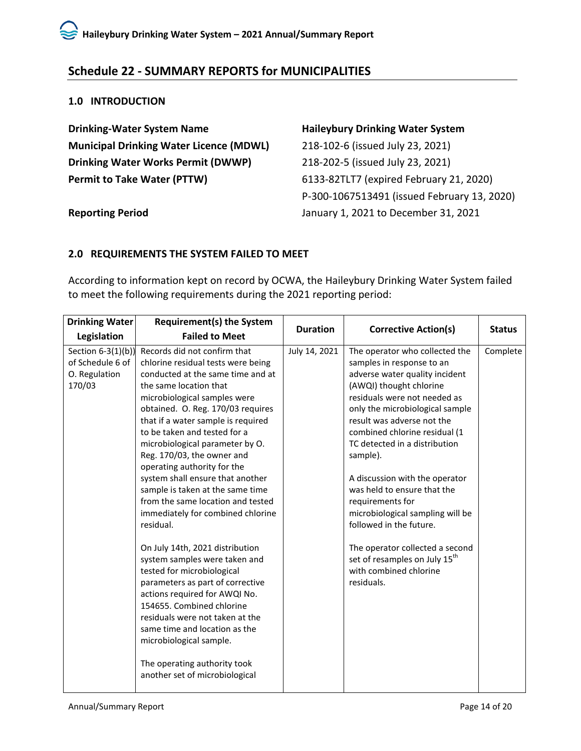# <span id="page-16-0"></span>**Schedule 22 - SUMMARY REPORTS for MUNICIPALITIES**

#### <span id="page-16-1"></span>**1.0 INTRODUCTION**

**Drinking-Water System Name Haileybury Drinking Water System Municipal Drinking Water Licence (MDWL)** 218-102-6 (issued July 23, 2021) **Drinking Water Works Permit (DWWP)** 218-202-5 (issued July 23, 2021) **Permit to Take Water (PTTW)** 6133-82TLT7 (expired February 21, 2020)

P-300-1067513491 (issued February 13, 2020) **Reporting Period** January 1, 2021 to December 31, 2021

# <span id="page-16-2"></span>**2.0 REQUIREMENTS THE SYSTEM FAILED TO MEET**

According to information kept on record by OCWA, the Haileybury Drinking Water System failed to meet the following requirements during the 2021 reporting period:

| <b>Drinking Water</b> | <b>Requirement(s) the System</b>   |                 |                                           |               |
|-----------------------|------------------------------------|-----------------|-------------------------------------------|---------------|
| Legislation           | <b>Failed to Meet</b>              | <b>Duration</b> | <b>Corrective Action(s)</b>               | <b>Status</b> |
| Section $6-3(1)(b)$   | Records did not confirm that       | July 14, 2021   | The operator who collected the            | Complete      |
| of Schedule 6 of      | chlorine residual tests were being |                 | samples in response to an                 |               |
| O. Regulation         | conducted at the same time and at  |                 | adverse water quality incident            |               |
| 170/03                | the same location that             |                 | (AWQI) thought chlorine                   |               |
|                       | microbiological samples were       |                 | residuals were not needed as              |               |
|                       | obtained. O. Reg. 170/03 requires  |                 | only the microbiological sample           |               |
|                       | that if a water sample is required |                 | result was adverse not the                |               |
|                       | to be taken and tested for a       |                 | combined chlorine residual (1             |               |
|                       | microbiological parameter by O.    |                 | TC detected in a distribution             |               |
|                       | Reg. 170/03, the owner and         |                 | sample).                                  |               |
|                       | operating authority for the        |                 |                                           |               |
|                       | system shall ensure that another   |                 | A discussion with the operator            |               |
|                       | sample is taken at the same time   |                 | was held to ensure that the               |               |
|                       | from the same location and tested  |                 | requirements for                          |               |
|                       | immediately for combined chlorine  |                 | microbiological sampling will be          |               |
|                       | residual.                          |                 | followed in the future.                   |               |
|                       | On July 14th, 2021 distribution    |                 | The operator collected a second           |               |
|                       | system samples were taken and      |                 | set of resamples on July 15 <sup>th</sup> |               |
|                       | tested for microbiological         |                 | with combined chlorine                    |               |
|                       | parameters as part of corrective   |                 | residuals.                                |               |
|                       | actions required for AWQI No.      |                 |                                           |               |
|                       | 154655. Combined chlorine          |                 |                                           |               |
|                       | residuals were not taken at the    |                 |                                           |               |
|                       | same time and location as the      |                 |                                           |               |
|                       | microbiological sample.            |                 |                                           |               |
|                       | The operating authority took       |                 |                                           |               |
|                       | another set of microbiological     |                 |                                           |               |
|                       |                                    |                 |                                           |               |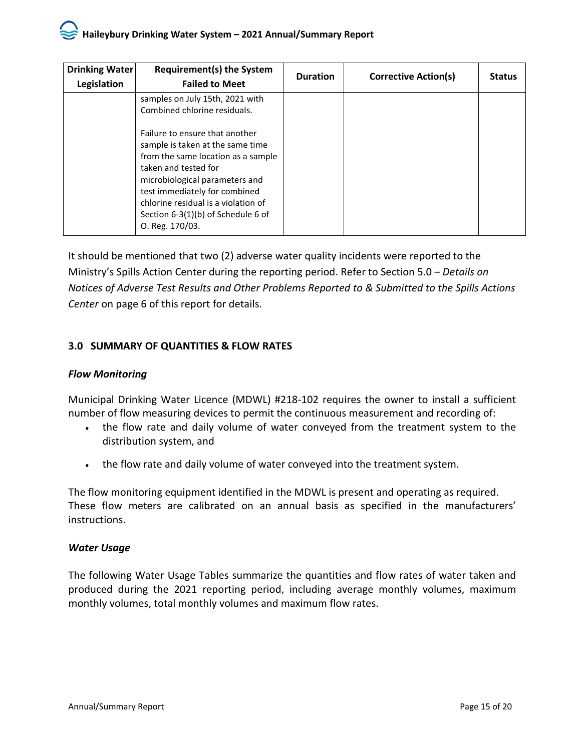| <b>Drinking Water</b> | <b>Requirement(s) the System</b>                                                                                                                                                                                                                                                                    | <b>Duration</b> | <b>Corrective Action(s)</b> | <b>Status</b> |
|-----------------------|-----------------------------------------------------------------------------------------------------------------------------------------------------------------------------------------------------------------------------------------------------------------------------------------------------|-----------------|-----------------------------|---------------|
| Legislation           | <b>Failed to Meet</b>                                                                                                                                                                                                                                                                               |                 |                             |               |
|                       | samples on July 15th, 2021 with<br>Combined chlorine residuals.                                                                                                                                                                                                                                     |                 |                             |               |
|                       | Failure to ensure that another<br>sample is taken at the same time<br>from the same location as a sample<br>taken and tested for<br>microbiological parameters and<br>test immediately for combined<br>chlorine residual is a violation of<br>Section 6-3(1)(b) of Schedule 6 of<br>O. Reg. 170/03. |                 |                             |               |

It should be mentioned that two (2) adverse water quality incidents were reported to the Ministry's Spills Action Center during the reporting period. Refer to Section 5.0 *– Details on Notices of Adverse Test Results and Other Problems Reported to & Submitted to the Spills Actions Center* on page 6 of this report for details.

# <span id="page-17-0"></span>**3.0 SUMMARY OF QUANTITIES & FLOW RATES**

# *Flow Monitoring*

Municipal Drinking Water Licence (MDWL) #218-102 requires the owner to install a sufficient number of flow measuring devices to permit the continuous measurement and recording of:

- the flow rate and daily volume of water conveyed from the treatment system to the distribution system, and
- the flow rate and daily volume of water conveyed into the treatment system.

The flow monitoring equipment identified in the MDWL is present and operating as required. These flow meters are calibrated on an annual basis as specified in the manufacturers' instructions.

# *Water Usage*

The following Water Usage Tables summarize the quantities and flow rates of water taken and produced during the 2021 reporting period, including average monthly volumes, maximum monthly volumes, total monthly volumes and maximum flow rates.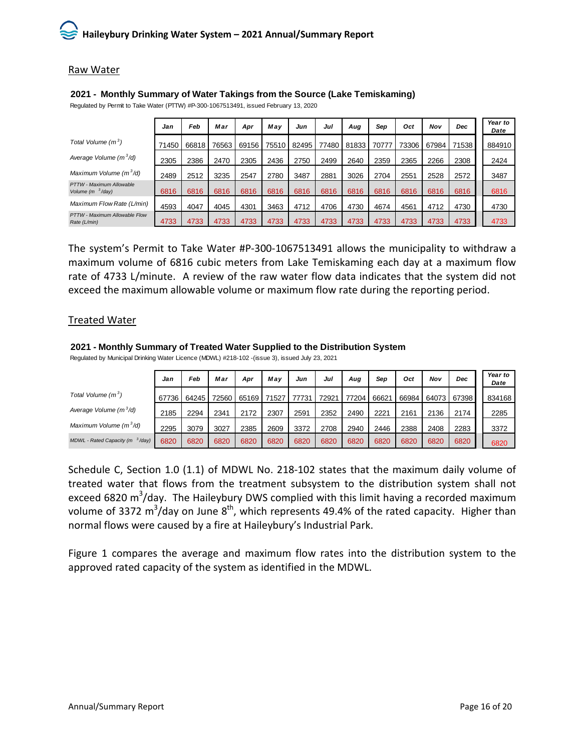#### Raw Water

#### *Jan Feb Mar Apr May Jun Jul Aug Sep Oct Nov Dec Year to Date Total Volume (m <sup>3</sup>* <sup>)</sup> 71450 66818 76563 69156 75510 82495 77480 81833 70777 73306 67984 71538 884910 *Average Volume (m <sup>3</sup> /d)* <sup>2305</sup> <sup>2386</sup> <sup>2470</sup> <sup>2305</sup> <sup>2436</sup> <sup>2750</sup> <sup>2499</sup> <sup>2640</sup> <sup>2359</sup> <sup>2365</sup> <sup>2266</sup> <sup>2308</sup> <sup>2424</sup> *Maximum Volume (m <sup>3</sup> /d)* <sup>2489</sup> <sup>2512</sup> <sup>3235</sup> <sup>2547</sup> <sup>2780</sup> <sup>3487</sup> <sup>2881</sup> <sup>3026</sup> <sup>2704</sup> <sup>2551</sup> <sup>2528</sup> <sup>2572</sup> <sup>3487</sup> *PTTW - Maximum Allowable Volume (m <sup>3</sup> /day)* 6816 6816 6816 6816 6816 6816 6816 6816 6816 6816 6816 6816 6816 *Maximum Flow Rate (L/min)* 4593 4047 4045 4301 3463 4712 4706 4730 4674 4561 4712 4730 4730 *PTTW - Maximum Allowable Flow Rate (L/min)* 4733 4733 4733 4733 4733 4733 4733 4733 4733 4733 4733 4733 4733

**2021 - Monthly Summary of Water Takings from the Source (Lake Temiskaming)** Regulated by Permit to Take Water (PTTW) #P-300-1067513491, issued February 13, 2020

The system's Permit to Take Water #P-300-1067513491 allows the municipality to withdraw a maximum volume of 6816 cubic meters from Lake Temiskaming each day at a maximum flow rate of 4733 L/minute. A review of the raw water flow data indicates that the system did not exceed the maximum allowable volume or maximum flow rate during the reporting period.

#### Treated Water

#### **2021 - Monthly Summary of Treated Water Supplied to the Distribution System**

Regulated by Municipal Drinking Water Licence (MDWL) #218-102 -(issue 3), issued July 23, 2021

|                                    | Jan   | Feb   | Mar   | Apr   | May   | Jun   | Jul   | Aug   | Sep   | Oct   | Nov   | Dec   | Year to<br>Date |
|------------------------------------|-------|-------|-------|-------|-------|-------|-------|-------|-------|-------|-------|-------|-----------------|
| Total Volume $(m^3)$               | 67736 | 64245 | 72560 | 65169 | 71527 | 77731 | 72921 | 77204 | 66621 | 66984 | 64073 | 67398 | 834168          |
| Average Volume (m <sup>3</sup> /d) | 2185  | 2294  | 2341  | 2172  | 2307  | 2591  | 2352  | 2490  | 2221  | 2161  | 2136  | 2174  | 2285            |
| Maximum Volume $(m^3/d)$           | 2295  | 3079  | 3027  | 2385  | 2609  | 3372  | 2708  | 2940  | 2446  | 2388  | 2408  | 2283  | 3372            |
| MDWL - Rated Capacity ( $m3/day$ ) | 6820  | 6820  | 6820  | 6820  | 6820  | 6820  | 6820  | 6820  | 6820  | 6820  | 6820  | 6820  | 6820            |

Schedule C, Section 1.0 (1.1) of MDWL No. 218-102 states that the maximum daily volume of treated water that flows from the treatment subsystem to the distribution system shall not exceed 6820 m<sup>3</sup>/day. The Haileybury DWS complied with this limit having a recorded maximum volume of 3372 m<sup>3</sup>/day on June 8<sup>th</sup>, which represents 49.4% of the rated capacity. Higher than normal flows were caused by a fire at Haileybury's Industrial Park.

Figure 1 compares the average and maximum flow rates into the distribution system to the approved rated capacity of the system as identified in the MDWL.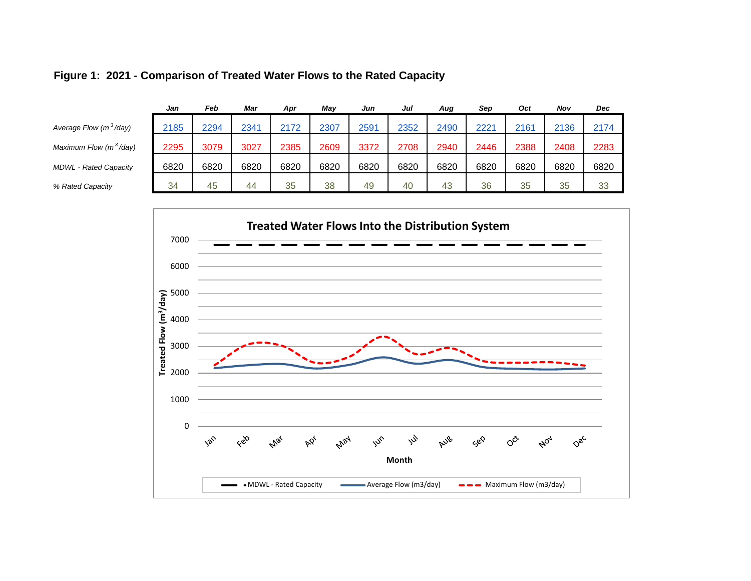|                                    | Jan  | Feb  | Mar  | Apr  | Mav  | Jun  | Jul  | Aug  | Sep              | Oct  | Nov  | Dec  |
|------------------------------------|------|------|------|------|------|------|------|------|------------------|------|------|------|
| Average Flow (m <sup>3</sup> /day) | 2185 | 2294 | 2341 | 2172 | 2307 | 2591 | 2352 | 2490 | 222 <sup>-</sup> | 2161 | 2136 | 2174 |
| Maximum Flow (m <sup>3</sup> /day) | 2295 | 3079 | 3027 | 2385 | 2609 | 3372 | 2708 | 2940 | 2446             | 2388 | 2408 | 2283 |
| <b>MDWL - Rated Capacity</b>       | 6820 | 6820 | 6820 | 6820 | 6820 | 6820 | 6820 | 6820 | 6820             | 6820 | 6820 | 6820 |
| % Rated Capacity                   | 34   | 45   | 44   | 35   | 38   | 49   | 40   | 43   | 36               | 35   | 35   | 33   |
|                                    |      |      |      |      |      |      |      |      |                  |      |      |      |

# **Figure 1: 2021 - Comparison of Treated Water Flows to the Rated Capacity**

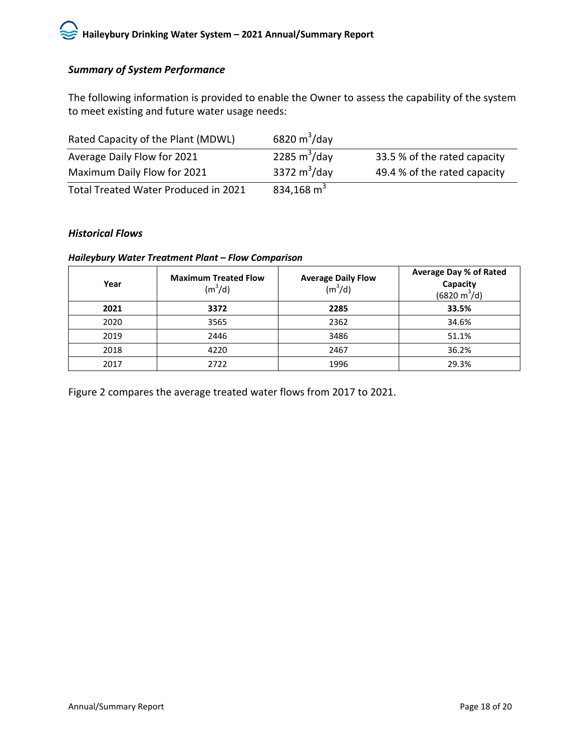# *Summary of System Performance*

The following information is provided to enable the Owner to assess the capability of the system to meet existing and future water usage needs:

| Rated Capacity of the Plant (MDWL)   | 6820 $m^3$ /day |                              |
|--------------------------------------|-----------------|------------------------------|
| Average Daily Flow for 2021          | 2285 $m^3$ /day | 33.5 % of the rated capacity |
| Maximum Daily Flow for 2021          | 3372 $m^3$ /day | 49.4 % of the rated capacity |
| Total Treated Water Produced in 2021 | 834,168 $m3$    |                              |

#### *Historical Flows*

#### *Haileybury Water Treatment Plant – Flow Comparison*

| Year | <b>Maximum Treated Flow</b><br>(m <sup>3</sup> /d) | <b>Average Daily Flow</b><br>$(m^3/d)$ | <b>Average Day % of Rated</b><br>Capacity<br>$(6820 \text{ m}^3/\text{d})$ |
|------|----------------------------------------------------|----------------------------------------|----------------------------------------------------------------------------|
| 2021 | 3372                                               | 2285                                   | 33.5%                                                                      |
| 2020 | 3565                                               | 2362                                   | 34.6%                                                                      |
| 2019 | 2446                                               | 3486                                   | 51.1%                                                                      |
| 2018 | 4220                                               | 2467                                   | 36.2%                                                                      |
| 2017 | 2722                                               | 1996                                   | 29.3%                                                                      |

Figure 2 compares the average treated water flows from 2017 to 2021.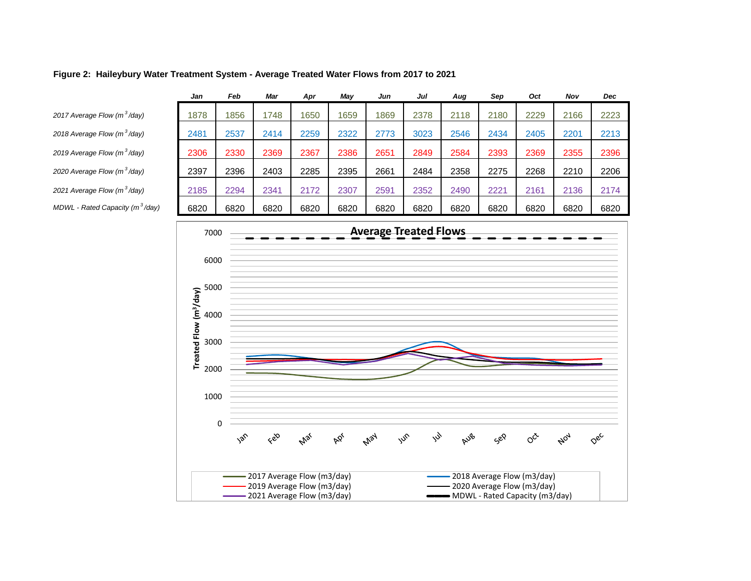#### **Figure 2: Haileybury Water Treatment System - Average Treated Water Flows from 2017 to 2021**

|                                             | Jan  | Feb  | Mar  | Apr  | Mav  | Jun  | Jul  | Aug  | Sep  | Oct  | Nov  | Dec  |
|---------------------------------------------|------|------|------|------|------|------|------|------|------|------|------|------|
| 2017 Average Flow (m <sup>3</sup> /day)     | 1878 | 1856 | 1748 | 650  | 1659 | 1869 | 2378 | 2118 | 2180 | 2229 | 2166 | 2223 |
| 2018 Average Flow (m <sup>3</sup> /day)     | 2481 | 2537 | 2414 | 2259 | 2322 | 2773 | 3023 | 2546 | 2434 | 2405 | 2201 | 2213 |
| 2019 Average Flow (m <sup>3</sup> /day)     | 2306 | 2330 | 2369 | 2367 | 2386 | 2651 | 2849 | 2584 | 2393 | 2369 | 2355 | 2396 |
| 2020 Average Flow (m <sup>3</sup> /day)     | 2397 | 2396 | 2403 | 2285 | 2395 | 2661 | 2484 | 2358 | 2275 | 2268 | 2210 | 2206 |
| 2021 Average Flow (m <sup>3</sup> /day)     | 2185 | 2294 | 2341 | 2172 | 2307 | 2591 | 2352 | 2490 | 2221 | 2161 | 2136 | 2174 |
| MDWL - Rated Capacity (m <sup>3</sup> /day) | 6820 | 6820 | 6820 | 6820 | 6820 | 6820 | 6820 | 6820 | 6820 | 6820 | 6820 | 6820 |
|                                             |      |      |      |      |      |      |      |      |      |      |      |      |

<span id="page-21-0"></span>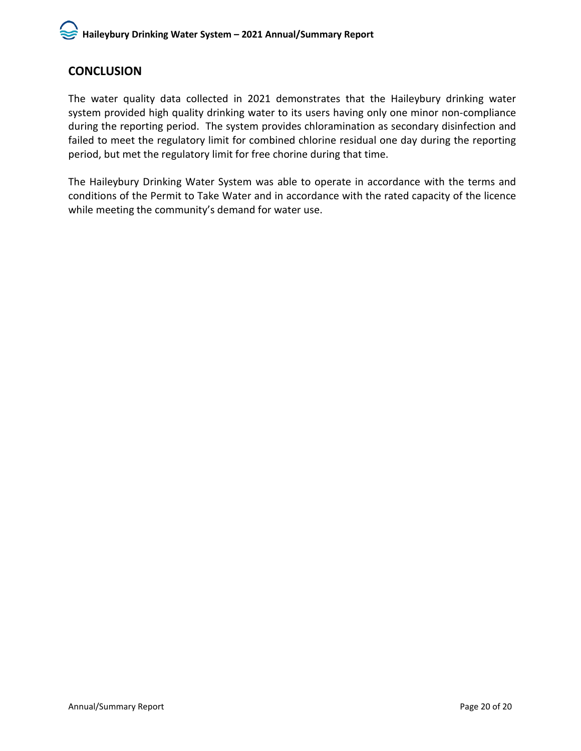# **CONCLUSION**

The water quality data collected in 2021 demonstrates that the Haileybury drinking water system provided high quality drinking water to its users having only one minor non-compliance during the reporting period. The system provides chloramination as secondary disinfection and failed to meet the regulatory limit for combined chlorine residual one day during the reporting period, but met the regulatory limit for free chorine during that time.

The Haileybury Drinking Water System was able to operate in accordance with the terms and conditions of the Permit to Take Water and in accordance with the rated capacity of the licence while meeting the community's demand for water use.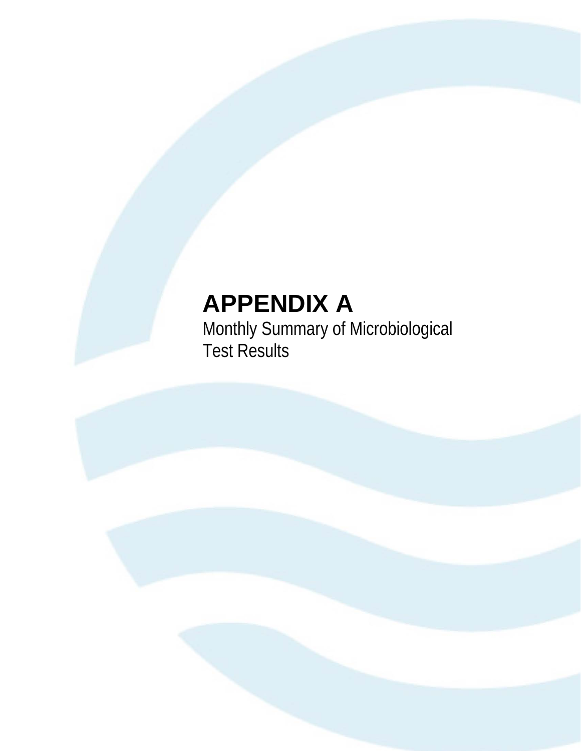# **APPENDIX A**

Monthly Summary of Microbiological Test Results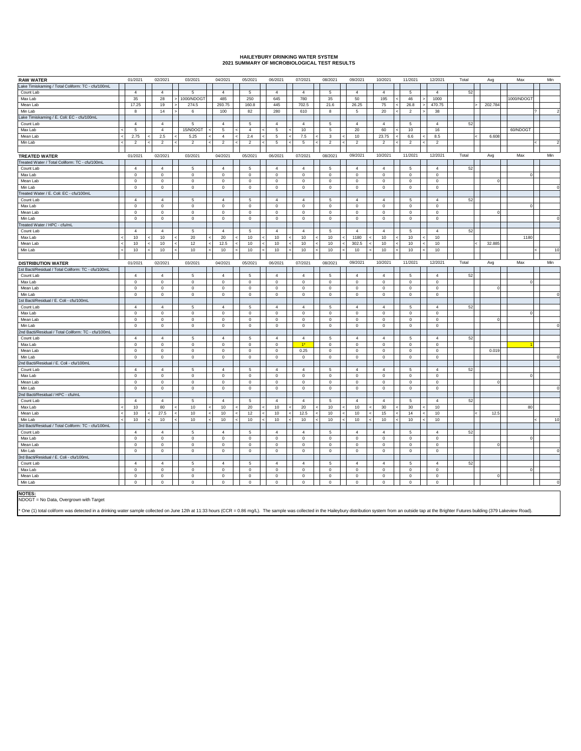#### **HAILEYBURY DRINKING WATER SYSTEM**

|  | 2021 SUMMARY OF MICROBIOLOGICAL TEST RESULTS |  |  |
|--|----------------------------------------------|--|--|
|  |                                              |  |  |

| <b>RAW WATER</b>                                    |                          | 01/2021        | 02/2021        | 03/2021                  | 04/2021                                    | 05/2021               | 06/2021        |                 | 07/2021        | 08/2021        | 09/2021        | 10/2021        | 11/2021        | 12/2021        | Total                    | Avg          | Max         | Min      |
|-----------------------------------------------------|--------------------------|----------------|----------------|--------------------------|--------------------------------------------|-----------------------|----------------|-----------------|----------------|----------------|----------------|----------------|----------------|----------------|--------------------------|--------------|-------------|----------|
| Lake Timiskaming / Total Coliform: TC - cfu/100mL   |                          |                |                |                          |                                            |                       |                |                 |                |                |                |                |                |                |                          |              |             |          |
| Count Lab                                           |                          | $\overline{4}$ | $\overline{4}$ | 5                        | $\overline{4}$                             | $\mathbf 5$           | $\overline{4}$ |                 | $\overline{4}$ | $\mathbf 5$    | $\overline{4}$ | $\overline{4}$ | $\mathbf 5$    | $\overline{4}$ | 52                       |              |             |          |
| Max Lab                                             |                          | 35             | 28             | 1000/NDOG1               | 485                                        | 250                   | 645            |                 | 780            | 35             | 50             | 195            | 46             | 1000           |                          |              | 1000/NDOGT  |          |
| Mean Lab                                            |                          | 17.25          | 19             | 274.5                    | 293.75                                     | 160.8                 | 445            |                 | 702.5          | 21.6           | 26.25          | 75<br>k        | 26.8           | 470.75         | >                        | 202.784      |             |          |
| Min Lab                                             |                          | 8              | $14$           | $\,6\,$                  | 100                                        | 82                    | 280            |                 | 610            | 8              | $\sqrt{5}$     | 20             | $\overline{2}$ | $38\,$         |                          |              |             |          |
| Lake Timiskaming / E. Coli: EC - cfu/100mL          |                          |                |                |                          |                                            |                       |                |                 |                |                |                |                |                |                |                          |              |             |          |
| Count Lab                                           |                          | $\overline{4}$ | $\overline{4}$ | 5                        | $\overline{4}$                             | 5                     | $\overline{4}$ |                 | $\overline{4}$ | 5              | $\overline{4}$ | $\overline{4}$ | 5              | $\overline{4}$ | 52                       |              |             |          |
|                                                     |                          |                | $\overline{4}$ | 15/NDOG1                 |                                            |                       | $\overline{5}$ |                 |                |                | $20\,$         |                |                |                |                          |              |             |          |
| Max Lab                                             | k,<br>è                  | 5              | 2.5            |                          | 5<br>$\overline{4}$<br>k                   | $\overline{4}$<br>2.4 |                | k<br>$\epsilon$ | 10             | 5              |                | 60<br>z        | 10             | 16<br>8.5      | $\overline{\phantom{a}}$ |              | 60/NDOGT    |          |
| Mean Lab                                            |                          | 2.75           |                | 5.25                     |                                            |                       | 5              |                 | $7.5\,$        | 3              | 10             | 23.75          | 6.6            |                |                          | 6.608        |             |          |
| Min Lab                                             |                          | $\overline{2}$ | $\overline{2}$ | $\overline{2}$           | $\overline{2}$<br>$\overline{\phantom{a}}$ | $\overline{2}$        | 5              | $\prec$         | 5              | $\overline{2}$ | $\overline{2}$ | $\overline{2}$ | $\overline{2}$ | $\overline{2}$ |                          |              |             |          |
|                                                     |                          |                |                |                          |                                            |                       |                |                 |                |                |                |                |                |                |                          |              |             |          |
| <b>TREATED WATER</b>                                |                          | 01/2021        | 02/2021        | 03/2021                  | 04/2021                                    | 05/2021               | 06/2021        |                 | 07/2021        | 08/2021        | 09/2021        | 10/2021        | 11/2021        | 12/2021        | Total                    | Avg          | Max         | Min      |
| Treated Water / Total Coliform: TC - cfu/100mL      |                          |                |                |                          |                                            |                       |                |                 |                |                |                |                |                |                |                          |              |             |          |
| Count Lab                                           |                          | $\overline{4}$ | $\overline{4}$ | 5                        | $\overline{4}$                             | 5                     | $\overline{4}$ |                 | $\overline{4}$ | 5              | $\overline{4}$ | $\overline{4}$ | 5              | $\overline{4}$ | 52                       |              |             |          |
| Max Lab                                             |                          | $\mathsf 0$    | $\mathsf 0$    | $\mathbf 0$              | $\mathbf 0$                                | 0                     | $\mathbf 0$    |                 | $\mathbb O$    | 0              | $\mathbf 0$    | $\mathsf 0$    | $\mathbf 0$    | $\mathbf 0$    |                          |              | $\Omega$    |          |
| Mean Lab                                            |                          | $\mathsf 0$    | $\mathbf 0$    | $\,0\,$                  | $\mathbf 0$                                | 0                     | $\mathbf 0$    |                 | 0              | 0              | $\mathbf 0$    | $\,0\,$        | $\mathbf 0$    | $\mathbf 0$    |                          | $\Omega$     |             |          |
| Min Lab                                             |                          | $\mathsf 0$    | $\mathbf 0$    | $\mathbf 0$              | $\mathbf 0$                                | $\mathsf{o}\,$        | $\mathbf 0$    |                 | $\mathbb O$    | 0              | $\mathbf 0$    | $\mathsf 0$    | $\mathbf 0$    | $\mathbf 0$    |                          |              |             |          |
| Treated Water / E. Coli: EC - cfu/100mL             |                          |                |                |                          |                                            |                       |                |                 |                |                |                |                |                |                |                          |              |             |          |
| Count Lab                                           |                          | $\overline{4}$ | $\overline{4}$ | $\overline{5}$           | $\overline{4}$                             | $\mathbf 5$           | $\overline{4}$ |                 | $\overline{4}$ | 5              | $\overline{4}$ | $\overline{4}$ | 5              | $\overline{4}$ | 52                       |              |             |          |
| Max Lab                                             |                          | $\mathsf 0$    | $\mathbf 0$    | $\mathbf 0$              | $\mathbf 0$                                | 0                     | $\mathbf 0$    |                 | $\mathbf 0$    | 0              | $\mathbf 0$    | $\,0\,$        | $\mathsf 0$    | $\overline{0}$ |                          |              | $\circ$     |          |
| Mean Lab                                            |                          | $\mathsf 0$    | $\mathbf 0$    | $\,$ 0                   | $\mathbf 0$                                | 0                     | $\,0\,$        |                 | $\mathbb O$    | 0              | $\mathbf 0$    | $\,0\,$        | $\mathsf 0$    | $\mathbf 0$    |                          | $\circ$      |             |          |
| Min Lab                                             |                          | $\mathsf 0$    | $\mathbf 0$    | $\mathbf 0$              | $\mathbf 0$                                | $\mathsf 0$           | $\mathbf 0$    |                 | $\mathbb O$    | 0              | $\mathbf 0$    | $\,0\,$        | $\mathsf 0$    | $\mathbf 0$    |                          |              |             |          |
| Treated Water / HPC - cfu/mL                        |                          |                |                |                          |                                            |                       |                |                 |                |                |                |                |                |                |                          |              |             |          |
| Count Lab                                           |                          | $\sqrt{4}$     | $\overline{4}$ | 5                        | $\overline{4}$                             | 5                     | $\overline{4}$ |                 | $\overline{4}$ | 5              | $\overline{4}$ | $\overline{4}$ | 5              | $\overline{4}$ | 52                       |              |             |          |
| Max Lab                                             | $\overline{\phantom{a}}$ | 10             | $10$           | $20\,$                   | 20                                         | $10$                  | $10$           | $\prec$         | 10             | $10$           | 1180           | 10             | $10$           | $10$           |                          |              | 1180        |          |
| Mean Lab                                            | $\prec$                  | 10             | 10             | 12                       | 12.5<br>k                                  | 10                    | 10             | ż               | 10             | 10             | 302.5          | 10             | 10             | 10             | $\prec$                  | 32.885       |             |          |
| Min Lab                                             |                          | 10             | 10             | 10                       | 10                                         |                       | 10             |                 | 10             |                |                | 10             |                | 10             |                          |              |             | 10       |
|                                                     |                          |                |                |                          |                                            | $10$                  |                |                 |                | $10$           | $10$           |                | $10$           |                |                          |              |             |          |
|                                                     |                          |                |                |                          |                                            |                       |                |                 |                |                |                |                |                |                |                          |              |             |          |
| <b>DISTRIBUTION WATER</b>                           |                          | 01/2021        | 02/2021        | 03/2021                  | 04/2021                                    | 05/2021               | 06/2021        |                 | 07/2021        | 08/2021        | 09/2021        | 10/2021        | 11/2021        | 12/2021        | Total                    | Avg          | Max         | Min      |
| 1st Bacti/Residual / Total Coliform: TC - cfu/100mL |                          |                |                |                          |                                            |                       |                |                 |                |                |                |                |                |                |                          |              |             |          |
| Count Lab                                           |                          | $\overline{4}$ | $\overline{4}$ | 5                        | $\overline{4}$                             | 5                     | $\overline{4}$ |                 | $\overline{4}$ | 5              | $\overline{4}$ | $\overline{4}$ | 5              | $\overline{4}$ | 52                       |              |             |          |
| Max Lab                                             |                          | 0              | $\,0\,$        | $\,0\,$                  | $\bf{0}$                                   | $\mathsf 0$           | $\,0\,$        |                 | $\bf{0}$       | 0              | $\mathbf 0$    | $\mathbf 0$    | $\mathsf 0$    | $\mathbf 0$    |                          |              | $\circ$     |          |
| Mean Lab                                            |                          | $\mathbf 0$    | $\mathbf 0$    | $\mathsf 0$              | $\mathbf 0$                                | $\mathbf 0$           | $\mathsf 0$    |                 | $\mathbf 0$    | $\mathbf 0$    | $\mathbf 0$    | $\circ$        | $\mathbf 0$    | $\overline{0}$ |                          | $\mathbf{0}$ |             |          |
| Min Lab                                             |                          | $\,0\,$        | $\mathbf 0$    | $\,0\,$                  | $\mathbf 0$                                | $\mathsf 0$           | $\,0\,$        |                 | $\mathbf 0$    | 0              | $\mathbf 0$    | $\,0\,$        | $\mathsf 0$    | $\mathbf 0$    |                          |              |             |          |
| 1st Bacti/Residual / E. Coli - cfu/100mL            |                          |                |                |                          |                                            |                       |                |                 |                |                |                |                |                |                |                          |              |             |          |
| Count Lab                                           |                          | $\overline{4}$ | $\overline{4}$ | $\overline{5}$           | $\overline{4}$                             | 5                     | $\overline{4}$ |                 | $\overline{4}$ | $\overline{5}$ | $\sqrt{4}$     | $\overline{4}$ | 5              | $\overline{4}$ | 52                       |              |             |          |
| Max Lab                                             |                          | $\mathsf 0$    | $\mathbf 0$    | $\,0\,$                  | $\mathbf 0$                                | $\mathsf{o}\,$        | $\mathbf 0$    |                 | $\mathbf 0$    | $\mathsf{o}\,$ | $\bf{0}$       | $\mathbf 0$    | $\mathbf 0$    | $\pmb{0}$      |                          |              | $\Omega$    |          |
| Mean Lab                                            |                          | $\mathbf 0$    | $\mathbf 0$    | $\,0\,$                  | $\mathbf 0$                                | $\mathsf 0$           | $\,0\,$        |                 | $\mathbf 0$    | $\mathsf 0$    | $\mathbf 0$    | $\,0\,$        | $\mathbf 0$    | $\,$ 0         |                          | $\circ$      |             |          |
| Min Lab                                             |                          | $\mathbf 0$    | $\mathbf 0$    | $\mathsf 0$              | $\mathbf 0$                                | $\mathbf 0$           | $\mathsf 0$    |                 | $\mathbb O$    | $\mathsf 0$    | $\mathbf 0$    | $\,0\,$        | $\mathbf 0$    | $\,$ 0         |                          |              |             |          |
| 2nd Bacti/Residual / Total Coliform: TC - cfu/100mL |                          |                |                |                          |                                            |                       |                |                 |                |                |                |                |                |                |                          |              |             |          |
| Count Lab                                           |                          | $\overline{4}$ | $\overline{4}$ | $\overline{\phantom{a}}$ | $\overline{4}$                             | $\overline{5}$        | $\overline{4}$ |                 | $\overline{4}$ | $\overline{5}$ | $\overline{4}$ | $\overline{4}$ | $\overline{5}$ | $\overline{4}$ | 52                       |              |             |          |
| Max Lab                                             |                          | $\mathbf 0$    | $\mathbf 0$    | $\mathbf 0$              | $\circ$                                    | $\mathbf 0$           | $\overline{0}$ |                 | $\mathbf{r}$   | $\mathbf 0$    | $\mathbf 0$    | $\circ$        | $\mathbf 0$    | $\overline{0}$ |                          |              |             |          |
| Mean Lab                                            |                          | $^{\circ}$     | $\,0\,$        | $\,0\,$                  | $^{\circ}$                                 | 0                     | $\,0\,$        |                 | 0.25           | 0              | $\,0\,$        | $\mathbf 0$    | 0              | $\mathbb O$    |                          | 0.019        |             |          |
| Min Lab                                             |                          | $\mathbf 0$    | $\mathbf 0$    | $\mathbf 0$              | $\mathbf 0$                                | $\mathbf 0$           | $\overline{0}$ |                 | $\mathbf 0$    | $\mathbf 0$    | $\mathbf 0$    | $\mathbf 0$    | $\mathbf 0$    | $\overline{0}$ |                          |              |             |          |
| 2nd Bacti/Residual / E. Coli - cfu/100mL            |                          |                |                |                          |                                            |                       |                |                 |                |                |                |                |                |                |                          |              |             |          |
| Count Lab                                           |                          | $\overline{4}$ | $\overline{4}$ | 5                        | $\overline{4}$                             | 5                     | $\overline{4}$ |                 | $\overline{4}$ | 5              | $\overline{4}$ | $\overline{4}$ | 5              | $\overline{4}$ | 52                       |              |             |          |
| Max Lab                                             |                          | $\mathsf 0$    | 0              | $\,0\,$                  | $\mathbf 0$                                | $\mathsf 0$           | $\,0\,$        |                 | $^{\circ}$     | 0              | $\mathbf 0$    | $\,0\,$        | $\mathbf 0$    | $\mathbf 0$    |                          |              | $\mathbf 0$ |          |
| Mean Lab                                            |                          | $\mathbf 0$    | $\mathbf 0$    | $\mathbf 0$              | $\mathbf 0$                                | $\mathbf 0$           | $\overline{0}$ |                 | $\mathbf 0$    | $\mathbf 0$    | $\mathbf 0$    | $\circ$        | $\mathbf 0$    | $\overline{0}$ |                          | $\mathbf{0}$ |             |          |
| Min Lab                                             |                          | $\,0\,$        | $\mathbf 0$    | $\,0\,$                  | $\mathbf 0$                                | $\mathsf 0$           | $\,0\,$        |                 | $\mathbf 0$    | $\mathsf 0$    | $\mathbf 0$    | $\,0\,$        | $\mathsf 0$    | $\,$ 0         |                          |              |             |          |
| 2nd Bacti/Residual / HPC - cfu/mL                   |                          |                |                |                          |                                            |                       |                |                 |                |                |                |                |                |                |                          |              |             |          |
| Count Lab                                           |                          | $\overline{4}$ | $\overline{4}$ | $\overline{5}$           | $\overline{4}$                             | 5                     | $\overline{4}$ |                 | $\overline{4}$ | 5              | $\sqrt{4}$     | $\overline{4}$ | 5              | $\overline{4}$ | 52                       |              |             |          |
|                                                     |                          |                |                |                          |                                            |                       |                |                 |                |                |                | 30             |                |                |                          |              | 80          |          |
| Max Lab                                             |                          | 10             | 80             | 10                       | 10                                         | 20                    | 10             |                 | 20             | 10             | $10$           |                | $30\,$         | 10             |                          |              |             |          |
| Mean Lab                                            | k,                       | 10             | 27.5           | 10                       | 10                                         | 12                    | 10             | $\prec$         | 12.5           | 10             | 10             | 15             | 14             | 10             | k                        | 12.5         |             |          |
| Min Lab                                             | k,                       | $10$           | 10             | 10                       | $10\,$<br>$\prec$                          | 10                    | $10$           | $\prec$         | 10             | $10$           | 10             | 10             | 10             | 10             |                          |              |             | 10       |
| 3rd Bacti/Residual / Total Coliform: TC - cfu/100mL |                          |                |                |                          |                                            |                       |                |                 |                |                |                |                |                |                |                          |              |             |          |
| Count Lab                                           |                          | $\overline{4}$ | $\overline{4}$ | $\overline{\phantom{a}}$ | $\overline{4}$                             | $\overline{5}$        | $\overline{4}$ |                 | $\Delta$       | $\overline{5}$ | $\overline{4}$ | $\overline{4}$ | $\overline{5}$ | $\overline{4}$ | 52                       |              |             |          |
| Max Lab                                             |                          | $\mathsf 0$    | 0              | $\mathsf 0$              | $\mathbf 0$                                | 0                     | $\mathsf 0$    |                 | $\mathbb O$    | 0              | $\mathbf 0$    | $\,0\,$        | $\mathbf 0$    | $\mathbf 0$    |                          |              | $\mathbf 0$ |          |
| Mean Lab                                            |                          | $\mathsf 0$    | $\mathbf 0$    | $\,$ 0                   | $\circ$                                    | 0                     | $\,0\,$        |                 | $^{\circ}$     | 0              | $\mathbf 0$    | $\overline{0}$ | $\mathsf 0$    | $\,$ 0         |                          | $\mathbf 0$  |             |          |
| Min Lab                                             |                          | $\mathbf 0$    | $\mathbf 0$    | $\mathbf 0$              | $\mathbf 0$                                | $\mathbf 0$           | $\overline{0}$ |                 | $\mathbf 0$    | $\mathbf 0$    | $\mathbf 0$    | $\mathbf 0$    | $\mathbf 0$    | $\overline{0}$ |                          |              |             |          |
| 3rd Bacti/Residual / E. Coli - cfu/100mL            |                          |                |                |                          |                                            |                       |                |                 |                |                |                |                |                |                |                          |              |             |          |
| Count Lab                                           |                          | $\overline{4}$ | $\overline{4}$ | 5                        | $\overline{4}$                             | 5                     | $\overline{4}$ |                 | $\overline{4}$ | 5              | $\overline{4}$ | $\overline{4}$ | 5              | $\overline{4}$ | 52                       |              |             |          |
| Max Lab                                             |                          | $\mathsf 0$    | 0              | $\,0\,$                  | $\mathbf 0$                                | $\mathbf 0$           | $\,0\,$        |                 | $\mathbb O$    | 0              | $\mathbf 0$    | $\,0\,$        | $\mathbf 0$    | $\mathbf 0$    |                          |              | $\mathbf 0$ |          |
| Mean Lab                                            |                          | $\mathbf 0$    | $\mathsf 0$    | $\overline{0}$           | $\mathbf 0$                                | $\mathbf 0$           | $\overline{0}$ |                 | $\mathbf 0$    | $\mathbf 0$    | $\mathbf 0$    | $\circ$        | $\mathbf 0$    | $\overline{0}$ |                          | $\mathbf{0}$ |             |          |
| Min Lab                                             |                          | $\mathsf 0$    | $\mathsf 0$    | $\mathbf 0$              | $\mathbf 0$                                | $\mathsf 0$           | $\,0\,$        |                 | $\mathbf 0$    | 0              | $\mathbf 0$    | $\mathsf 0$    | $\mathsf 0$    | $\mathbf 0$    |                          |              |             | $\Omega$ |
|                                                     |                          |                |                |                          |                                            |                       |                |                 |                |                |                |                |                |                |                          |              |             |          |

**NOTES:** NDOGT = No Data, Overgrown with Target

One (1) total coliform was detected in a drinking water sample collected on June 12th at 11:33 hours (CCR = 0.86 mg/L). The sample was collected in the Haileybury distribution system from an outside tap at the Brighter Fut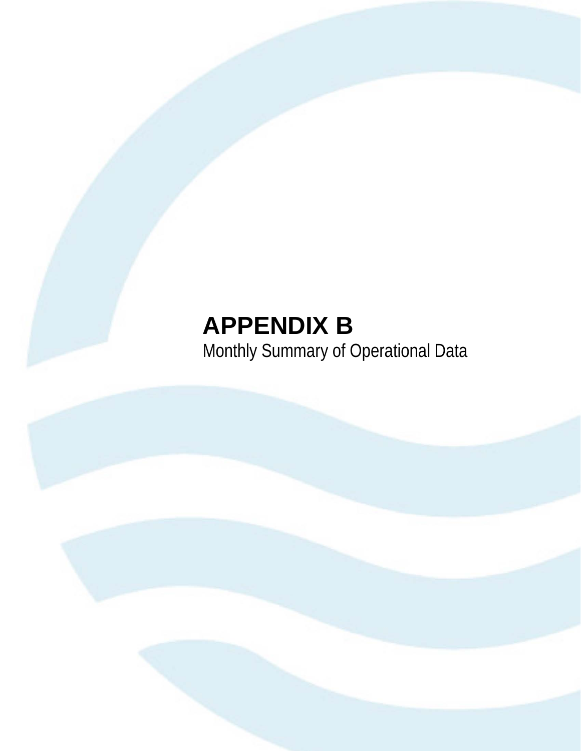# **APPENDIX B** Monthly Summary of Operational Data